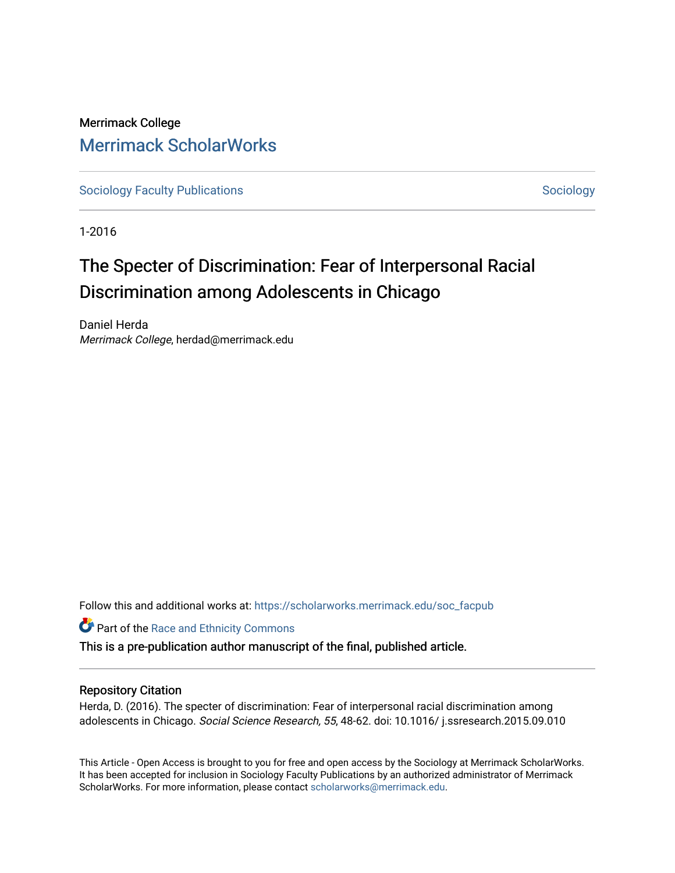## Merrimack College [Merrimack ScholarWorks](https://scholarworks.merrimack.edu/)

[Sociology Faculty Publications](https://scholarworks.merrimack.edu/soc_facpub) and [Sociology](https://scholarworks.merrimack.edu/soc) Sociology Sociology

1-2016

# The Specter of Discrimination: Fear of Interpersonal Racial Discrimination among Adolescents in Chicago

Daniel Herda Merrimack College, herdad@merrimack.edu

Follow this and additional works at: [https://scholarworks.merrimack.edu/soc\\_facpub](https://scholarworks.merrimack.edu/soc_facpub?utm_source=scholarworks.merrimack.edu%2Fsoc_facpub%2F20&utm_medium=PDF&utm_campaign=PDFCoverPages) 

**Part of the Race and Ethnicity Commons** 

This is a pre-publication author manuscript of the final, published article.

#### Repository Citation

Herda, D. (2016). The specter of discrimination: Fear of interpersonal racial discrimination among adolescents in Chicago. Social Science Research, 55, 48-62. doi: 10.1016/ j.ssresearch.2015.09.010

This Article - Open Access is brought to you for free and open access by the Sociology at Merrimack ScholarWorks. It has been accepted for inclusion in Sociology Faculty Publications by an authorized administrator of Merrimack ScholarWorks. For more information, please contact [scholarworks@merrimack.edu.](mailto:scholarworks@merrimack.edu)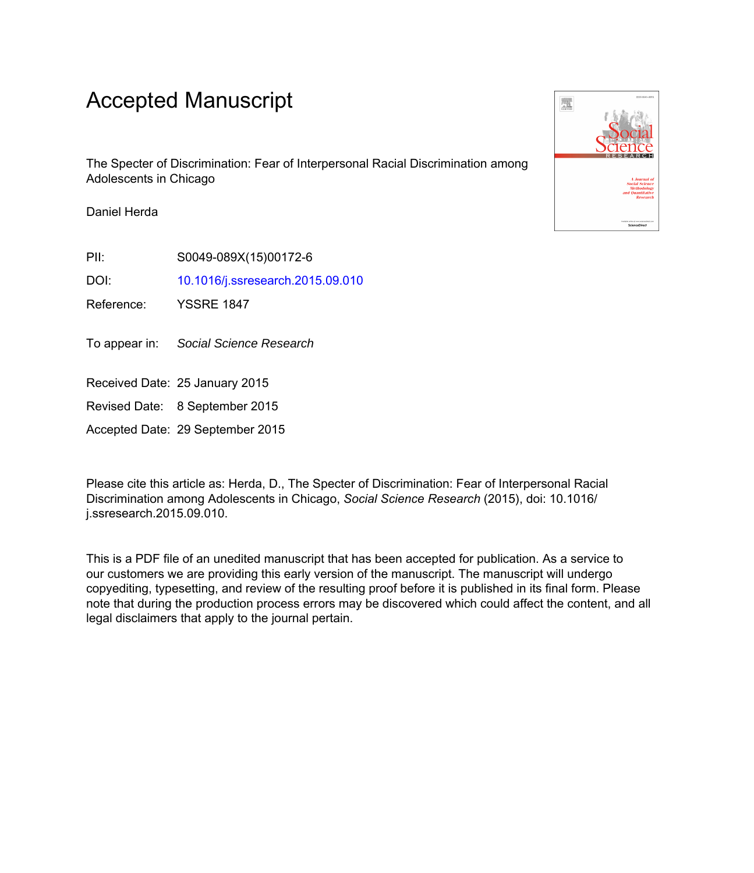## Accepted Manuscript

The Specter of Discrimination: Fear of Interpersonal Racial Discrimination among Adolescents in Chicago

Daniel Herda

PII: S0049-089X(15)00172-6

DOI: [10.1016/j.ssresearch.2015.09.010](http://dx.doi.org/10.1016/j.ssresearch.2015.09.010)

Reference: YSSRE 1847

To appear in: Social Science Research

Received Date: 25 January 2015

Revised Date: 8 September 2015

Accepted Date: 29 September 2015

Please cite this article as: Herda, D., The Specter of Discrimination: Fear of Interpersonal Racial Discrimination among Adolescents in Chicago, *Social Science Research* (2015), doi: 10.1016/ j.ssresearch.2015.09.010.

This is a PDF file of an unedited manuscript that has been accepted for publication. As a service to our customers we are providing this early version of the manuscript. The manuscript will undergo copyediting, typesetting, and review of the resulting proof before it is published in its final form. Please note that during the production process errors may be discovered which could affect the content, and all legal disclaimers that apply to the journal pertain.

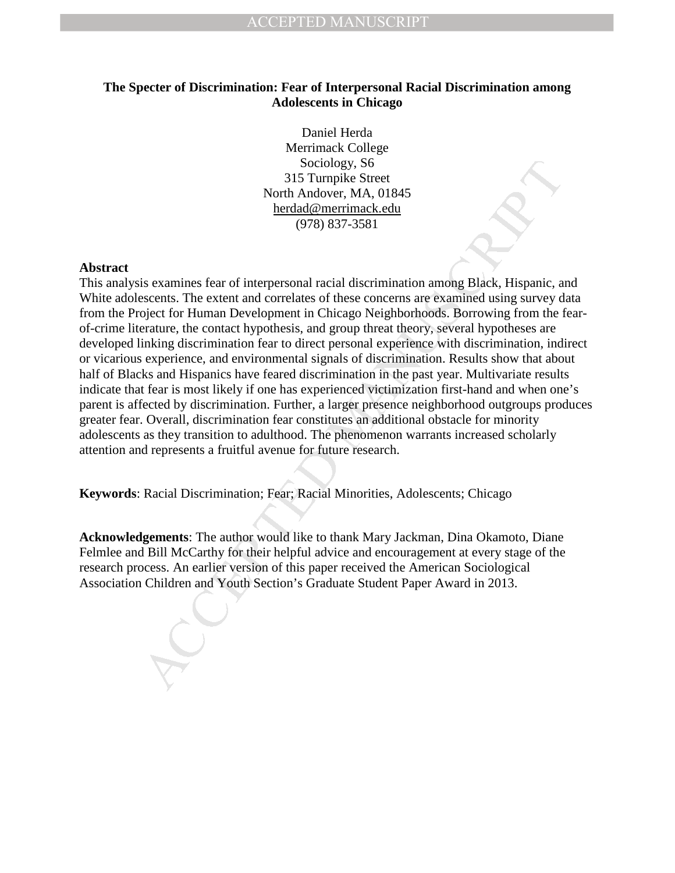## **The Specter of Discrimination: Fear of Interpersonal Racial Discrimination among Adolescents in Chicago**

Daniel Herda Merrimack College Sociology, S6 315 Turnpike Street North Andover, MA, 01845 herdad@merrimack.edu (978) 837-3581

#### **Abstract**

Sociology, S6<br>
315 Tarmpike Street<br>
2010 and Nadover, MA, 01845<br>
2015 Tarmpike Street<br>
North Andover, MA, 01845<br>
2018 herdad@merrimack.edu<br>
(978) 837-3581<br>
2018 is examines fear of interpersonal racial discrimination among This analysis examines fear of interpersonal racial discrimination among Black, Hispanic, and White adolescents. The extent and correlates of these concerns are examined using survey data from the Project for Human Development in Chicago Neighborhoods. Borrowing from the fearof-crime literature, the contact hypothesis, and group threat theory, several hypotheses are developed linking discrimination fear to direct personal experience with discrimination, indirect or vicarious experience, and environmental signals of discrimination. Results show that about half of Blacks and Hispanics have feared discrimination in the past year. Multivariate results indicate that fear is most likely if one has experienced victimization first-hand and when one's parent is affected by discrimination. Further, a larger presence neighborhood outgroups produces greater fear. Overall, discrimination fear constitutes an additional obstacle for minority adolescents as they transition to adulthood. The phenomenon warrants increased scholarly attention and represents a fruitful avenue for future research.

**Keywords**: Racial Discrimination; Fear; Racial Minorities, Adolescents; Chicago

**Acknowledgements**: The author would like to thank Mary Jackman, Dina Okamoto, Diane Felmlee and Bill McCarthy for their helpful advice and encouragement at every stage of the research process. An earlier version of this paper received the American Sociological Association Children and Youth Section's Graduate Student Paper Award in 2013.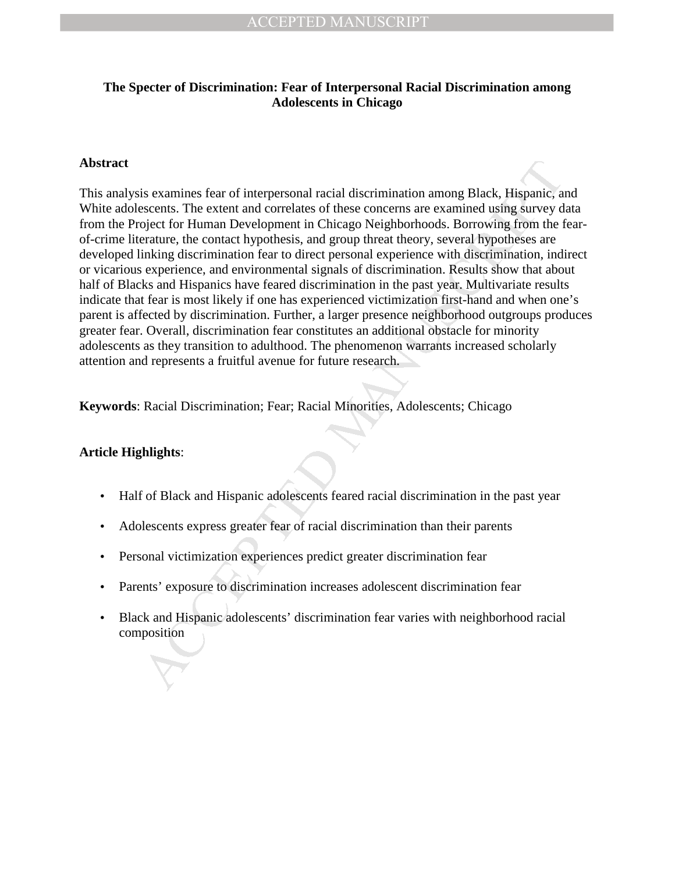## **The Specter of Discrimination: Fear of Interpersonal Racial Discrimination among Adolescents in Chicago**

## **Abstract**

is examines fear of interpersonal racial discrimination anong Black, Hispanic, a<br>escents. The extent and correlates of these concerns are examined using survey d<br>oject for Human Development in Chicago Neighborhoods. Borrow This analysis examines fear of interpersonal racial discrimination among Black, Hispanic, and White adolescents. The extent and correlates of these concerns are examined using survey data from the Project for Human Development in Chicago Neighborhoods. Borrowing from the fearof-crime literature, the contact hypothesis, and group threat theory, several hypotheses are developed linking discrimination fear to direct personal experience with discrimination, indirect or vicarious experience, and environmental signals of discrimination. Results show that about half of Blacks and Hispanics have feared discrimination in the past year. Multivariate results indicate that fear is most likely if one has experienced victimization first-hand and when one's parent is affected by discrimination. Further, a larger presence neighborhood outgroups produces greater fear. Overall, discrimination fear constitutes an additional obstacle for minority adolescents as they transition to adulthood. The phenomenon warrants increased scholarly attention and represents a fruitful avenue for future research.

**Keywords**: Racial Discrimination; Fear; Racial Minorities, Adolescents; Chicago

## **Article Highlights**:

- Half of Black and Hispanic adolescents feared racial discrimination in the past year
- Adolescents express greater fear of racial discrimination than their parents
- Personal victimization experiences predict greater discrimination fear
- Parents' exposure to discrimination increases adolescent discrimination fear
- Black and Hispanic adolescents' discrimination fear varies with neighborhood racial composition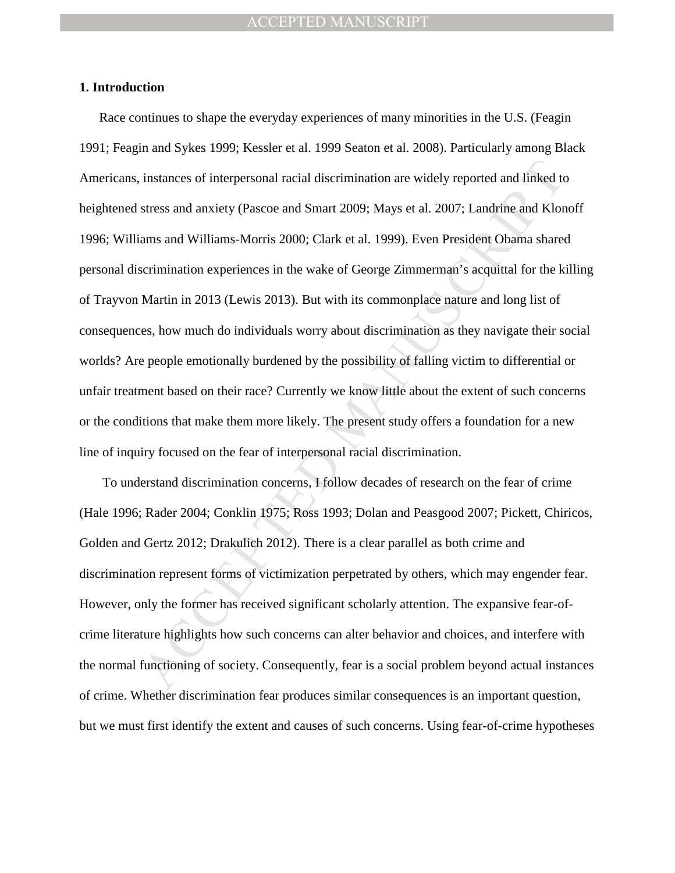#### **1. Introduction**

instances of interpersonal racial discrimination are widely reported and linked testness and anxiety (Pascoe and Smart 2009; Mays et al. 2007; Landrine and Klor<br>stress and anxiety (Pascoe and Smart 2009; Mays et al. 2007; Race continues to shape the everyday experiences of many minorities in the U.S. (Feagin 1991; Feagin and Sykes 1999; Kessler et al. 1999 Seaton et al. 2008). Particularly among Black Americans, instances of interpersonal racial discrimination are widely reported and linked to heightened stress and anxiety (Pascoe and Smart 2009; Mays et al. 2007; Landrine and Klonoff 1996; Williams and Williams-Morris 2000; Clark et al. 1999). Even President Obama shared personal discrimination experiences in the wake of George Zimmerman's acquittal for the killing of Trayvon Martin in 2013 (Lewis 2013). But with its commonplace nature and long list of consequences, how much do individuals worry about discrimination as they navigate their social worlds? Are people emotionally burdened by the possibility of falling victim to differential or unfair treatment based on their race? Currently we know little about the extent of such concerns or the conditions that make them more likely. The present study offers a foundation for a new line of inquiry focused on the fear of interpersonal racial discrimination.

 To understand discrimination concerns, I follow decades of research on the fear of crime (Hale 1996; Rader 2004; Conklin 1975; Ross 1993; Dolan and Peasgood 2007; Pickett, Chiricos, Golden and Gertz 2012; Drakulich 2012). There is a clear parallel as both crime and discrimination represent forms of victimization perpetrated by others, which may engender fear. However, only the former has received significant scholarly attention. The expansive fear-ofcrime literature highlights how such concerns can alter behavior and choices, and interfere with the normal functioning of society. Consequently, fear is a social problem beyond actual instances of crime. Whether discrimination fear produces similar consequences is an important question, but we must first identify the extent and causes of such concerns. Using fear-of-crime hypotheses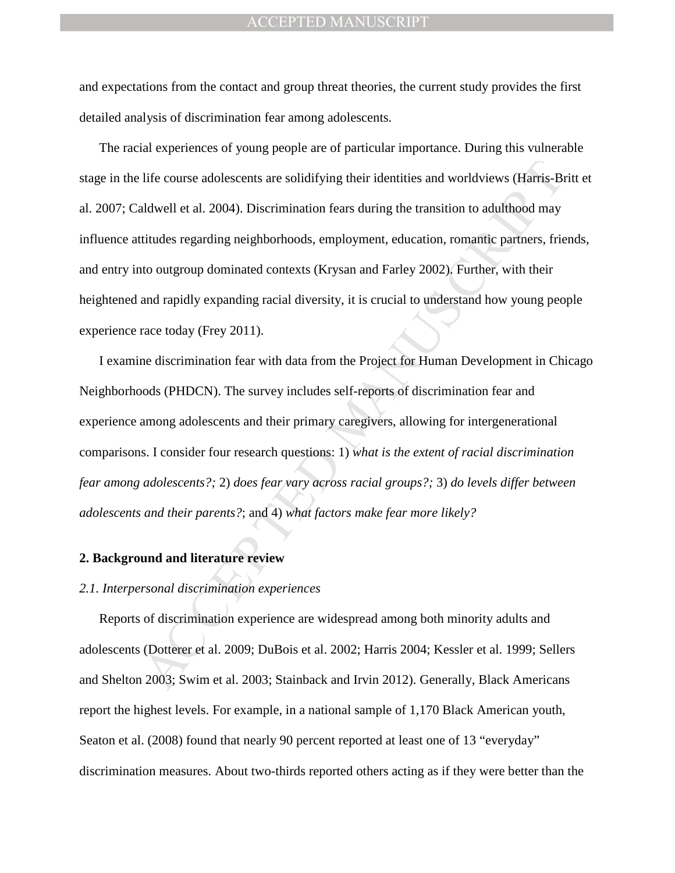and expectations from the contact and group threat theories, the current study provides the first detailed analysis of discrimination fear among adolescents.

life course adolescents are solidifying their identities and worldviews (Harris-Buldwell et al. 2004). Discrimination fears during the transition to adulthood may titudes regarding neighborhoods, employment, education, rom The racial experiences of young people are of particular importance. During this vulnerable stage in the life course adolescents are solidifying their identities and worldviews (Harris-Britt et al. 2007; Caldwell et al. 2004). Discrimination fears during the transition to adulthood may influence attitudes regarding neighborhoods, employment, education, romantic partners, friends, and entry into outgroup dominated contexts (Krysan and Farley 2002). Further, with their heightened and rapidly expanding racial diversity, it is crucial to understand how young people experience race today (Frey 2011).

I examine discrimination fear with data from the Project for Human Development in Chicago Neighborhoods (PHDCN). The survey includes self-reports of discrimination fear and experience among adolescents and their primary caregivers, allowing for intergenerational comparisons. I consider four research questions: 1) *what is the extent of racial discrimination fear among adolescents?;* 2) *does fear vary across racial groups?;* 3) *do levels differ between adolescents and their parents?*; and 4) *what factors make fear more likely?*

#### **2. Background and literature review**

#### *2.1. Interpersonal discrimination experiences*

Reports of discrimination experience are widespread among both minority adults and adolescents (Dotterer et al. 2009; DuBois et al. 2002; Harris 2004; Kessler et al. 1999; Sellers and Shelton 2003; Swim et al. 2003; Stainback and Irvin 2012). Generally, Black Americans report the highest levels. For example, in a national sample of 1,170 Black American youth, Seaton et al. (2008) found that nearly 90 percent reported at least one of 13 "everyday" discrimination measures. About two-thirds reported others acting as if they were better than the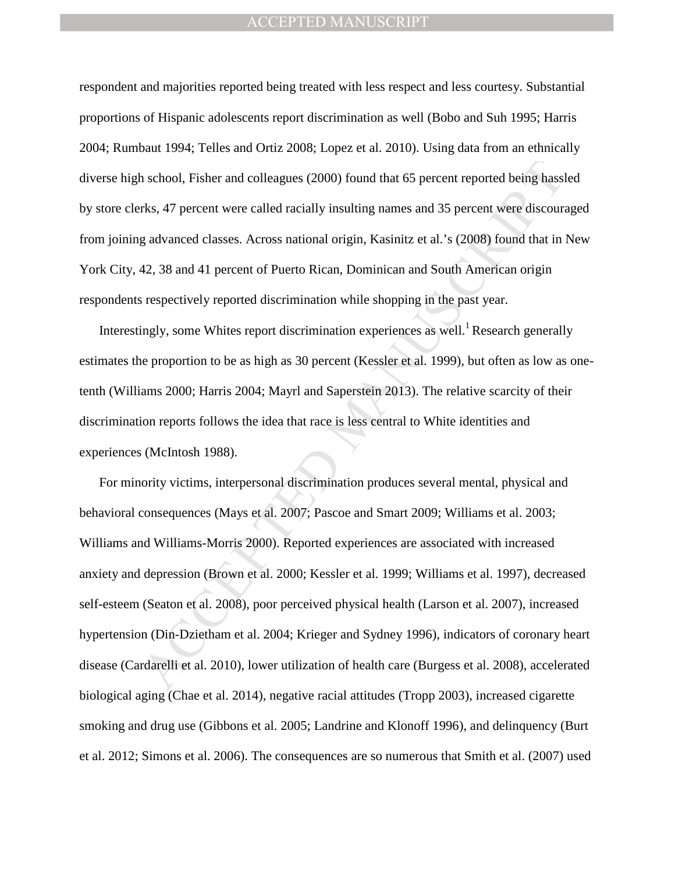respondent and majorities reported being treated with less respect and less courtesy. Substantial proportions of Hispanic adolescents report discrimination as well (Bobo and Suh 1995; Harris 2004; Rumbaut 1994; Telles and Ortiz 2008; Lopez et al. 2010). Using data from an ethnically diverse high school, Fisher and colleagues (2000) found that 65 percent reported being hassled by store clerks, 47 percent were called racially insulting names and 35 percent were discouraged from joining advanced classes. Across national origin, Kasinitz et al.'s (2008) found that in New York City, 42, 38 and 41 percent of Puerto Rican, Dominican and South American origin respondents respectively reported discrimination while shopping in the past year.

Interestingly, some Whites report discrimination experiences as well.<sup>1</sup> Research generally estimates the proportion to be as high as 30 percent (Kessler et al. 1999), but often as low as onetenth (Williams 2000; Harris 2004; Mayrl and Saperstein 2013). The relative scarcity of their discrimination reports follows the idea that race is less central to White identities and experiences (McIntosh 1988).

In school, Fisher and colleagues (2000) found that 65 percent reported being hass<br>rks, 47 percent were called racially insulting names and 35 percent were discours<br>g advanced classes. Across national origin, Kasinitz et al For minority victims, interpersonal discrimination produces several mental, physical and behavioral consequences (Mays et al. 2007; Pascoe and Smart 2009; Williams et al. 2003; Williams and Williams-Morris 2000). Reported experiences are associated with increased anxiety and depression (Brown et al. 2000; Kessler et al. 1999; Williams et al. 1997), decreased self-esteem (Seaton et al. 2008), poor perceived physical health (Larson et al. 2007), increased hypertension (Din-Dzietham et al. 2004; Krieger and Sydney 1996), indicators of coronary heart disease (Cardarelli et al. 2010), lower utilization of health care (Burgess et al. 2008), accelerated biological aging (Chae et al. 2014), negative racial attitudes (Tropp 2003), increased cigarette smoking and drug use (Gibbons et al. 2005; Landrine and Klonoff 1996), and delinquency (Burt et al. 2012; Simons et al. 2006). The consequences are so numerous that Smith et al. (2007) used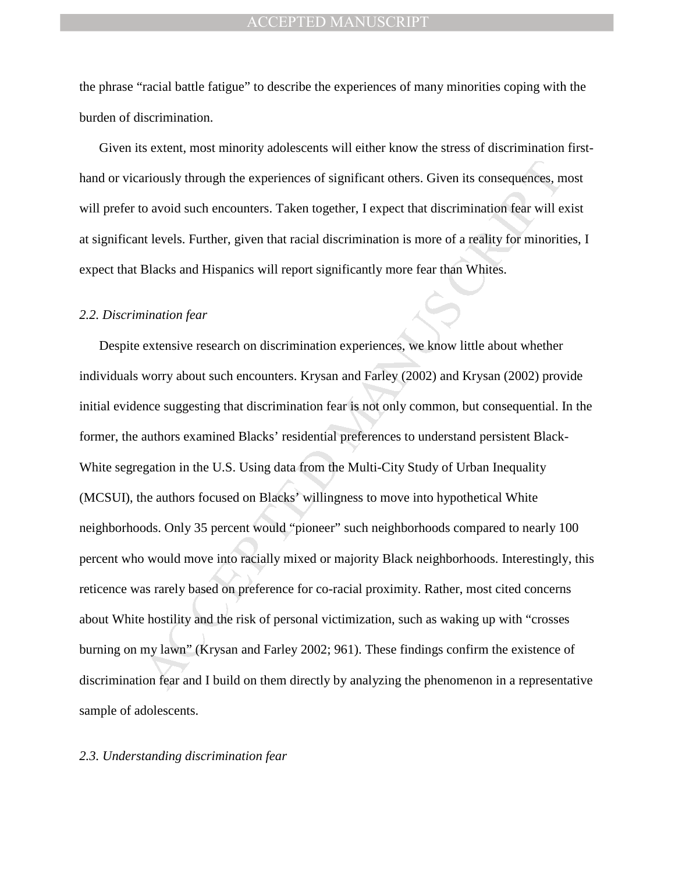the phrase "racial battle fatigue" to describe the experiences of many minorities coping with the burden of discrimination.

Given its extent, most minority adolescents will either know the stress of discrimination firsthand or vicariously through the experiences of significant others. Given its consequences, most will prefer to avoid such encounters. Taken together, I expect that discrimination fear will exist at significant levels. Further, given that racial discrimination is more of a reality for minorities, I expect that Blacks and Hispanics will report significantly more fear than Whites.

#### *2.2. Discrimination fear*

ariously through the experiences of significant others. Given its consequences, n<br>to avoid such encounters. Taken together, I expect that discrimination fear will e<br>nt levels. Further, given that racial discrimination is m Despite extensive research on discrimination experiences, we know little about whether individuals worry about such encounters. Krysan and Farley (2002) and Krysan (2002) provide initial evidence suggesting that discrimination fear is not only common, but consequential. In the former, the authors examined Blacks' residential preferences to understand persistent Black-White segregation in the U.S. Using data from the Multi-City Study of Urban Inequality (MCSUI), the authors focused on Blacks' willingness to move into hypothetical White neighborhoods. Only 35 percent would "pioneer" such neighborhoods compared to nearly 100 percent who would move into racially mixed or majority Black neighborhoods. Interestingly, this reticence was rarely based on preference for co-racial proximity. Rather, most cited concerns about White hostility and the risk of personal victimization, such as waking up with "crosses burning on my lawn" (Krysan and Farley 2002; 961). These findings confirm the existence of discrimination fear and I build on them directly by analyzing the phenomenon in a representative sample of adolescents.

#### *2.3. Understanding discrimination fear*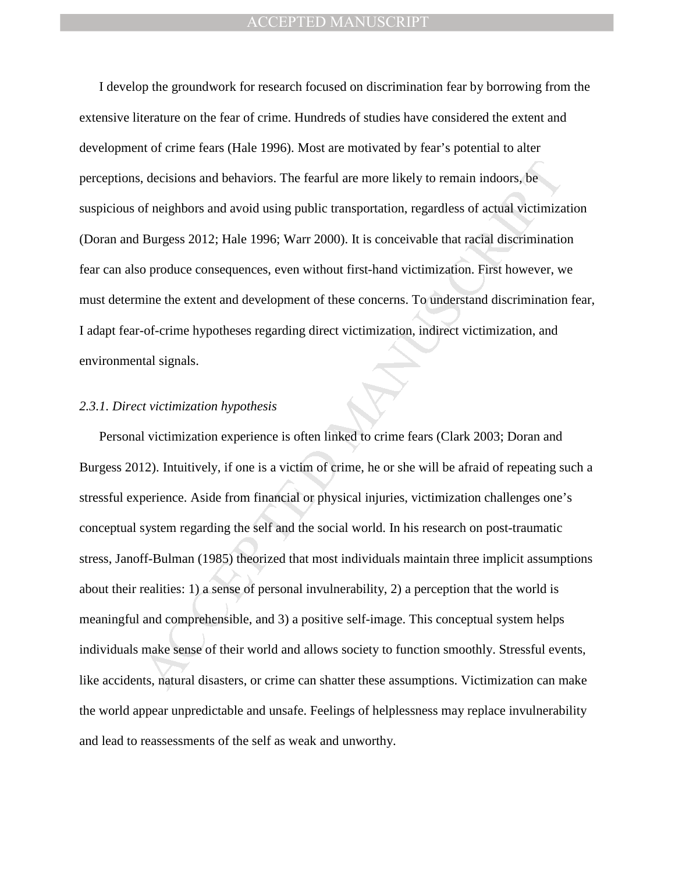I develop the groundwork for research focused on discrimination fear by borrowing from the extensive literature on the fear of crime. Hundreds of studies have considered the extent and development of crime fears (Hale 1996). Most are motivated by fear's potential to alter perceptions, decisions and behaviors. The fearful are more likely to remain indoors, be suspicious of neighbors and avoid using public transportation, regardless of actual victimization (Doran and Burgess 2012; Hale 1996; Warr 2000). It is conceivable that racial discrimination fear can also produce consequences, even without first-hand victimization. First however, we must determine the extent and development of these concerns. To understand discrimination fear, I adapt fear-of-crime hypotheses regarding direct victimization, indirect victimization, and environmental signals.

#### *2.3.1. Direct victimization hypothesis*

decisions and behaviors. The fearful are more likely to remain indoors, be<br>of neighbors and avoid using public transportation, regardless of actual victimiza<br>Burgess 2012; Hale 1996; Warr 2000). It is conceivable that raci Personal victimization experience is often linked to crime fears (Clark 2003; Doran and Burgess 2012). Intuitively, if one is a victim of crime, he or she will be afraid of repeating such a stressful experience. Aside from financial or physical injuries, victimization challenges one's conceptual system regarding the self and the social world. In his research on post-traumatic stress, Janoff-Bulman (1985) theorized that most individuals maintain three implicit assumptions about their realities: 1) a sense of personal invulnerability, 2) a perception that the world is meaningful and comprehensible, and 3) a positive self-image. This conceptual system helps individuals make sense of their world and allows society to function smoothly. Stressful events, like accidents, natural disasters, or crime can shatter these assumptions. Victimization can make the world appear unpredictable and unsafe. Feelings of helplessness may replace invulnerability and lead to reassessments of the self as weak and unworthy.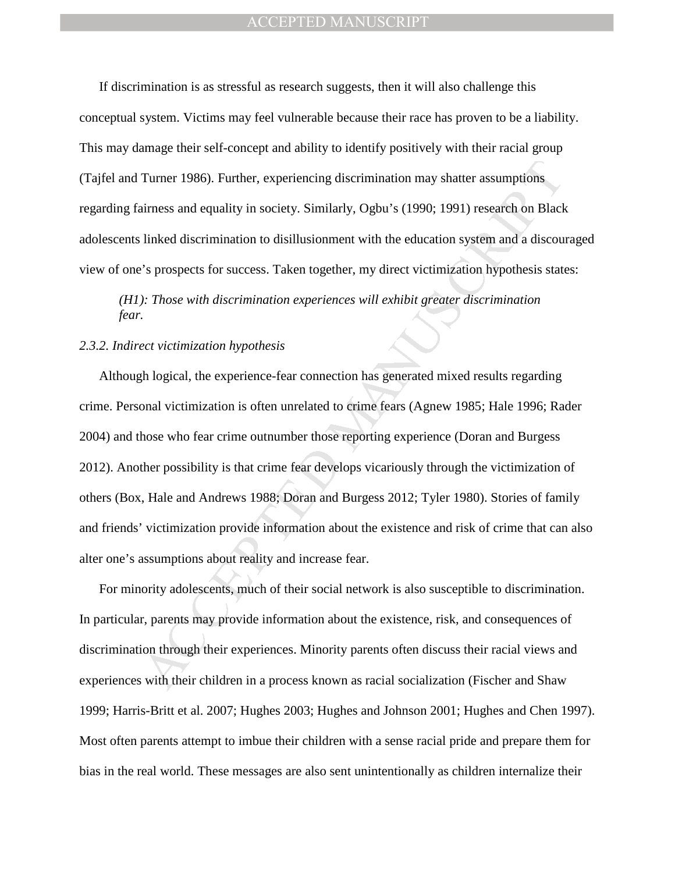If discrimination is as stressful as research suggests, then it will also challenge this conceptual system. Victims may feel vulnerable because their race has proven to be a liability. This may damage their self-concept and ability to identify positively with their racial group (Tajfel and Turner 1986). Further, experiencing discrimination may shatter assumptions regarding fairness and equality in society. Similarly, Ogbu's (1990; 1991) research on Black adolescents linked discrimination to disillusionment with the education system and a discouraged view of one's prospects for success. Taken together, my direct victimization hypothesis states:

## *(H1): Those with discrimination experiences will exhibit greater discrimination fear.*

#### *2.3.2. Indirect victimization hypothesis*

Turner 1986). Further, experiencing discrimination may shatter assumptions<br>urness and equality in society. Similarly, Ogbu's (1990; 1991) research on Black<br>linked discrimination to disillusionment with the education system Although logical, the experience-fear connection has generated mixed results regarding crime. Personal victimization is often unrelated to crime fears (Agnew 1985; Hale 1996; Rader 2004) and those who fear crime outnumber those reporting experience (Doran and Burgess 2012). Another possibility is that crime fear develops vicariously through the victimization of others (Box, Hale and Andrews 1988; Doran and Burgess 2012; Tyler 1980). Stories of family and friends' victimization provide information about the existence and risk of crime that can also alter one's assumptions about reality and increase fear.

For minority adolescents, much of their social network is also susceptible to discrimination. In particular, parents may provide information about the existence, risk, and consequences of discrimination through their experiences. Minority parents often discuss their racial views and experiences with their children in a process known as racial socialization (Fischer and Shaw 1999; Harris-Britt et al. 2007; Hughes 2003; Hughes and Johnson 2001; Hughes and Chen 1997). Most often parents attempt to imbue their children with a sense racial pride and prepare them for bias in the real world. These messages are also sent unintentionally as children internalize their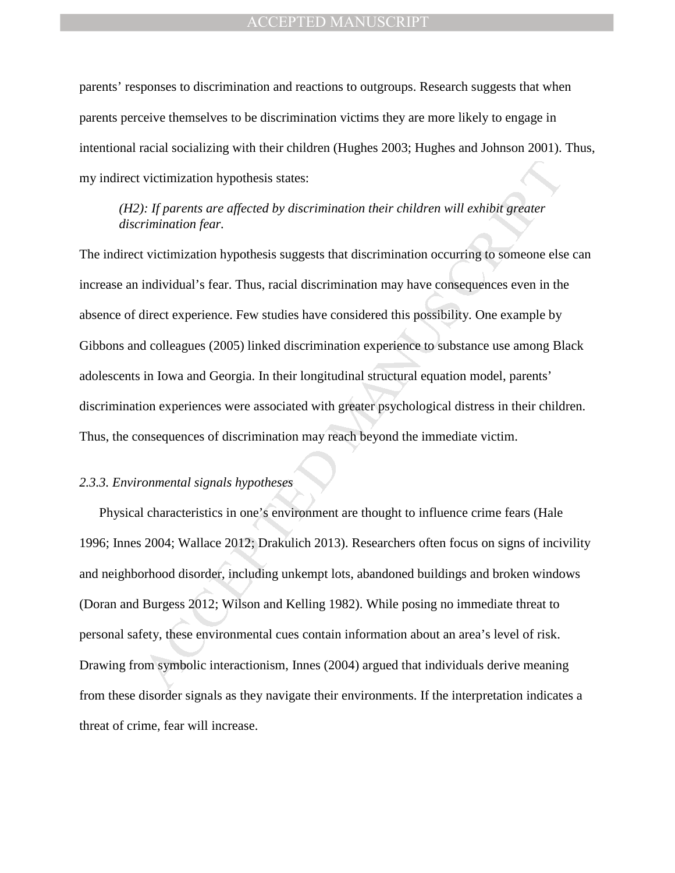parents' responses to discrimination and reactions to outgroups. Research suggests that when parents perceive themselves to be discrimination victims they are more likely to engage in intentional racial socializing with their children (Hughes 2003; Hughes and Johnson 2001). Thus, my indirect victimization hypothesis states:

## *(H2): If parents are affected by discrimination their children will exhibit greater discrimination fear.*

victimization hypothesis states:<br>
The practistic are affected by discrimination their children will exhibit greater<br>
Trimination fear.<br>
Wictimization hypothesis suggests that discrimination cocurring to some<br>
energiant vic The indirect victimization hypothesis suggests that discrimination occurring to someone else can increase an individual's fear. Thus, racial discrimination may have consequences even in the absence of direct experience. Few studies have considered this possibility. One example by Gibbons and colleagues (2005) linked discrimination experience to substance use among Black adolescents in Iowa and Georgia. In their longitudinal structural equation model, parents' discrimination experiences were associated with greater psychological distress in their children. Thus, the consequences of discrimination may reach beyond the immediate victim.

#### *2.3.3. Environmental signals hypotheses*

Physical characteristics in one's environment are thought to influence crime fears (Hale 1996; Innes 2004; Wallace 2012; Drakulich 2013). Researchers often focus on signs of incivility and neighborhood disorder, including unkempt lots, abandoned buildings and broken windows (Doran and Burgess 2012; Wilson and Kelling 1982). While posing no immediate threat to personal safety, these environmental cues contain information about an area's level of risk. Drawing from symbolic interactionism, Innes (2004) argued that individuals derive meaning from these disorder signals as they navigate their environments. If the interpretation indicates a threat of crime, fear will increase.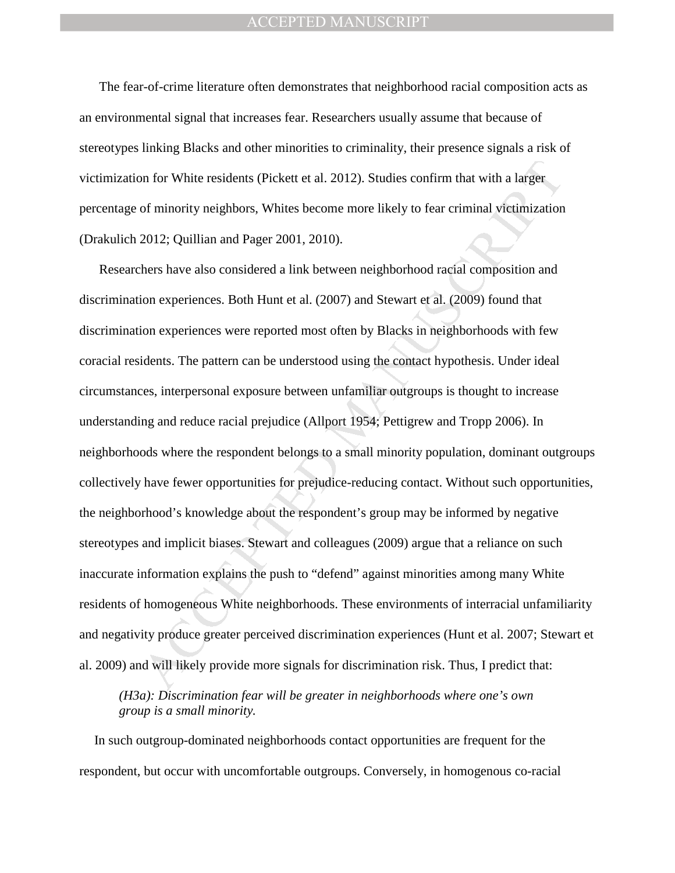The fear-of-crime literature often demonstrates that neighborhood racial composition acts as an environmental signal that increases fear. Researchers usually assume that because of stereotypes linking Blacks and other minorities to criminality, their presence signals a risk of victimization for White residents (Pickett et al. 2012). Studies confirm that with a larger percentage of minority neighbors, Whites become more likely to fear criminal victimization (Drakulich 2012; Quillian and Pager 2001, 2010).

on for White residents (Pickett et al. 2012). Studies confirm that with a larger<br>of minority neighbors, Whites become more likely to fear criminal vietimization<br>2012; Quillian and Pager 2001, 2010).<br>
Ahers have also consid Researchers have also considered a link between neighborhood racial composition and discrimination experiences. Both Hunt et al. (2007) and Stewart et al. (2009) found that discrimination experiences were reported most often by Blacks in neighborhoods with few coracial residents. The pattern can be understood using the contact hypothesis. Under ideal circumstances, interpersonal exposure between unfamiliar outgroups is thought to increase understanding and reduce racial prejudice (Allport 1954; Pettigrew and Tropp 2006). In neighborhoods where the respondent belongs to a small minority population, dominant outgroups collectively have fewer opportunities for prejudice-reducing contact. Without such opportunities, the neighborhood's knowledge about the respondent's group may be informed by negative stereotypes and implicit biases. Stewart and colleagues (2009) argue that a reliance on such inaccurate information explains the push to "defend" against minorities among many White residents of homogeneous White neighborhoods. These environments of interracial unfamiliarity and negativity produce greater perceived discrimination experiences (Hunt et al. 2007; Stewart et al. 2009) and will likely provide more signals for discrimination risk. Thus, I predict that:

*(H3a): Discrimination fear will be greater in neighborhoods where one's own group is a small minority.* 

In such outgroup-dominated neighborhoods contact opportunities are frequent for the respondent, but occur with uncomfortable outgroups. Conversely, in homogenous co-racial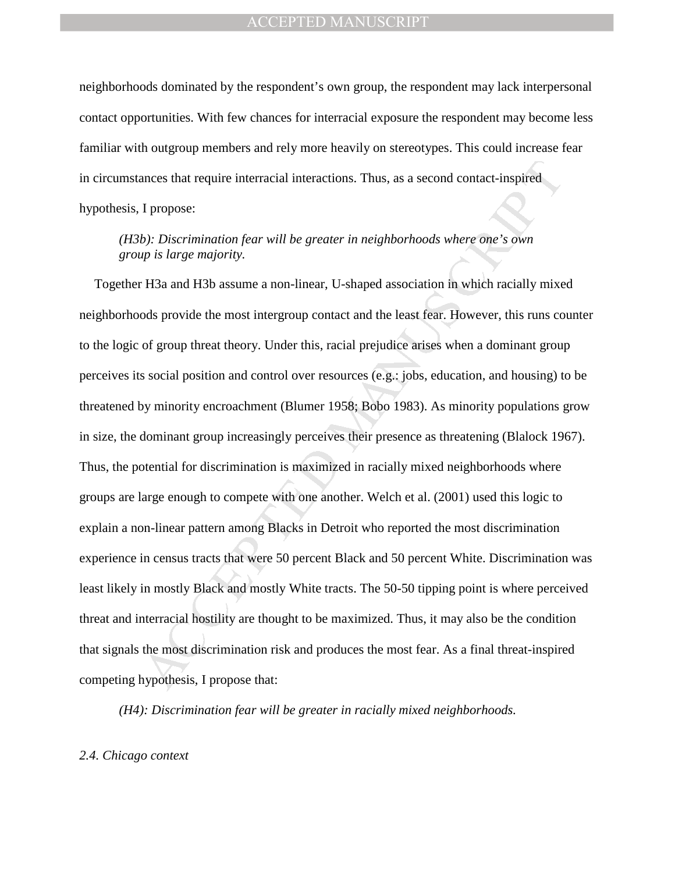neighborhoods dominated by the respondent's own group, the respondent may lack interpersonal contact opportunities. With few chances for interracial exposure the respondent may become less familiar with outgroup members and rely more heavily on stereotypes. This could increase fear in circumstances that require interracial interactions. Thus, as a second contact-inspired hypothesis, I propose:

*(H3b): Discrimination fear will be greater in neighborhoods where one's own group is large majority.* 

ances that require interracial interactions. Thus, as a second contact-inspired<br>
1 propose:<br> *My is large majority.*<br> *My is large majority.*<br> *My is large majority.*<br> *MH3* and H3b assume a non-linear, U-shaped associatio Together H3a and H3b assume a non-linear, U-shaped association in which racially mixed neighborhoods provide the most intergroup contact and the least fear. However, this runs counter to the logic of group threat theory. Under this, racial prejudice arises when a dominant group perceives its social position and control over resources (e.g.: jobs, education, and housing) to be threatened by minority encroachment (Blumer 1958; Bobo 1983). As minority populations grow in size, the dominant group increasingly perceives their presence as threatening (Blalock 1967). Thus, the potential for discrimination is maximized in racially mixed neighborhoods where groups are large enough to compete with one another. Welch et al. (2001) used this logic to explain a non-linear pattern among Blacks in Detroit who reported the most discrimination experience in census tracts that were 50 percent Black and 50 percent White. Discrimination was least likely in mostly Black and mostly White tracts. The 50-50 tipping point is where perceived threat and interracial hostility are thought to be maximized. Thus, it may also be the condition that signals the most discrimination risk and produces the most fear. As a final threat-inspired competing hypothesis, I propose that:

*(H4): Discrimination fear will be greater in racially mixed neighborhoods.* 

#### *2.4. Chicago context*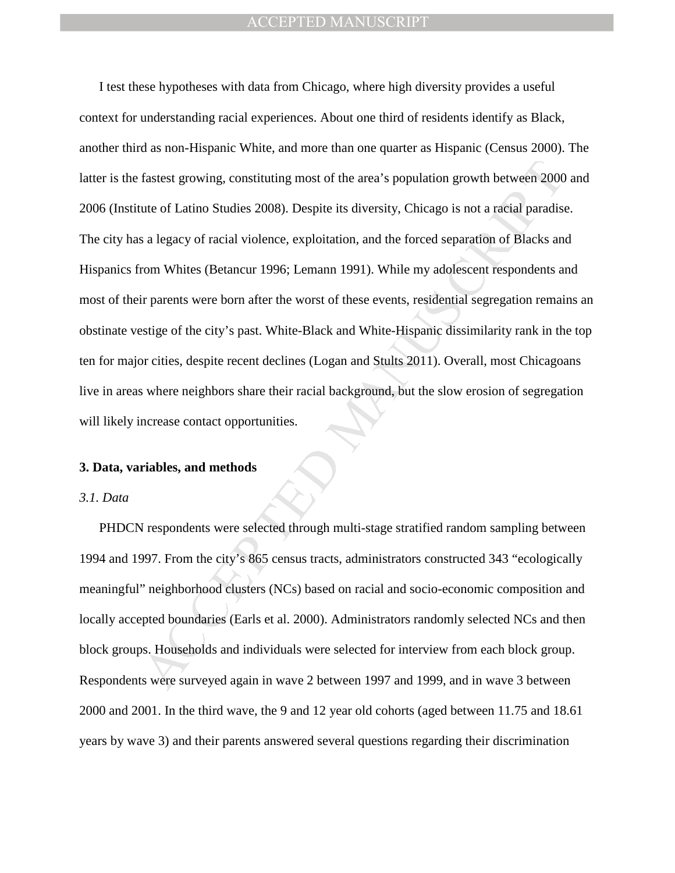fastest growing, constituting most of the area's population growth between 2000<br>tute of Latino Studies 2008). Despite its diversity, Chicago is not a racial paradist<br>sa legacy of racial violence, exploitation, and the forc I test these hypotheses with data from Chicago, where high diversity provides a useful context for understanding racial experiences. About one third of residents identify as Black, another third as non-Hispanic White, and more than one quarter as Hispanic (Census 2000). The latter is the fastest growing, constituting most of the area's population growth between 2000 and 2006 (Institute of Latino Studies 2008). Despite its diversity, Chicago is not a racial paradise. The city has a legacy of racial violence, exploitation, and the forced separation of Blacks and Hispanics from Whites (Betancur 1996; Lemann 1991). While my adolescent respondents and most of their parents were born after the worst of these events, residential segregation remains an obstinate vestige of the city's past. White-Black and White-Hispanic dissimilarity rank in the top ten for major cities, despite recent declines (Logan and Stults 2011). Overall, most Chicagoans live in areas where neighbors share their racial background, but the slow erosion of segregation will likely increase contact opportunities.

#### **3. Data, variables, and methods**

#### *3.1. Data*

PHDCN respondents were selected through multi-stage stratified random sampling between 1994 and 1997. From the city's 865 census tracts, administrators constructed 343 "ecologically meaningful" neighborhood clusters (NCs) based on racial and socio-economic composition and locally accepted boundaries (Earls et al. 2000). Administrators randomly selected NCs and then block groups. Households and individuals were selected for interview from each block group. Respondents were surveyed again in wave 2 between 1997 and 1999, and in wave 3 between 2000 and 2001. In the third wave, the 9 and 12 year old cohorts (aged between 11.75 and 18.61 years by wave 3) and their parents answered several questions regarding their discrimination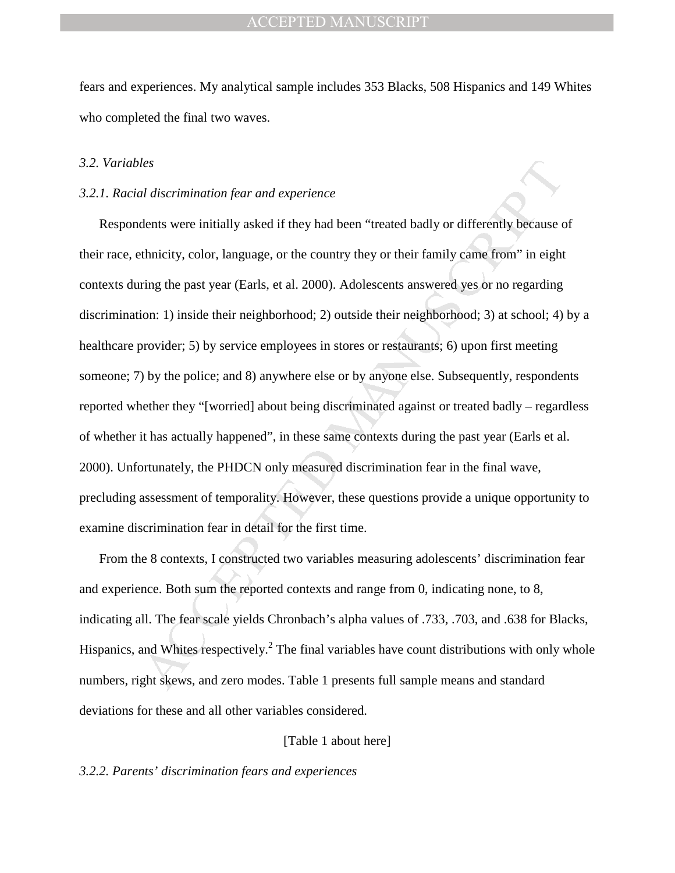fears and experiences. My analytical sample includes 353 Blacks, 508 Hispanics and 149 Whites who completed the final two waves.

#### *3.2. Variables*

#### *3.2.1. Racial discrimination fear and experience*

*les*<br>*discrimination fear and experience*<br>dents were initially asked if they had been "treated badly or differently because<br>chemicity, color, language, or the country they or their family came from" in eight<br>ring the past Respondents were initially asked if they had been "treated badly or differently because of their race, ethnicity, color, language, or the country they or their family came from" in eight contexts during the past year (Earls, et al. 2000). Adolescents answered yes or no regarding discrimination: 1) inside their neighborhood; 2) outside their neighborhood; 3) at school; 4) by a healthcare provider; 5) by service employees in stores or restaurants; 6) upon first meeting someone; 7) by the police; and 8) anywhere else or by anyone else. Subsequently, respondents reported whether they "[worried] about being discriminated against or treated badly – regardless of whether it has actually happened", in these same contexts during the past year (Earls et al. 2000). Unfortunately, the PHDCN only measured discrimination fear in the final wave, precluding assessment of temporality. However, these questions provide a unique opportunity to examine discrimination fear in detail for the first time.

From the 8 contexts, I constructed two variables measuring adolescents' discrimination fear and experience. Both sum the reported contexts and range from 0, indicating none, to 8, indicating all. The fear scale yields Chronbach's alpha values of .733, .703, and .638 for Blacks, Hispanics, and Whites respectively.<sup>2</sup> The final variables have count distributions with only whole numbers, right skews, and zero modes. Table 1 presents full sample means and standard deviations for these and all other variables considered.

#### [Table 1 about here]

#### *3.2.2. Parents' discrimination fears and experiences*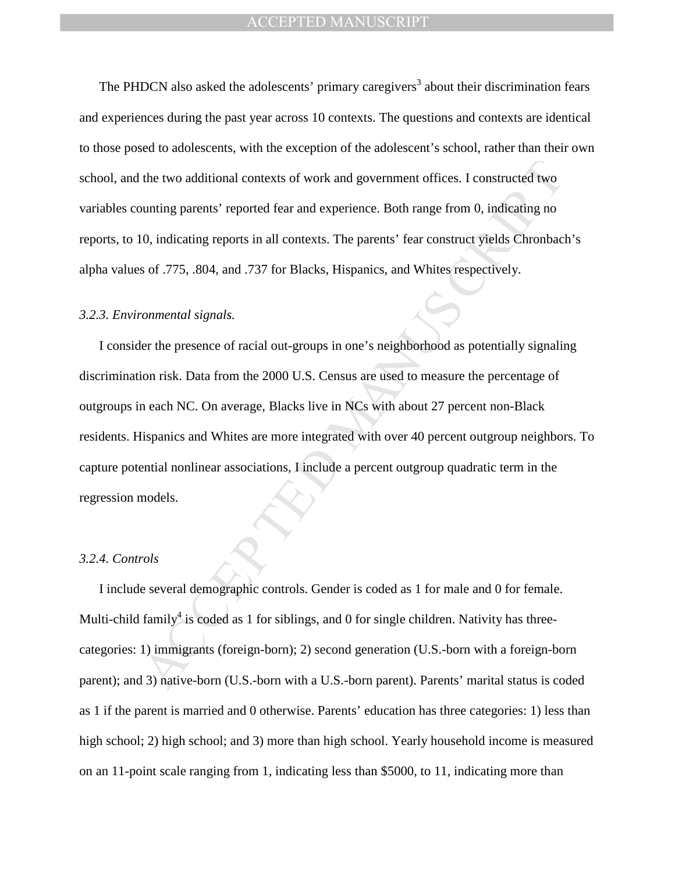The PHDCN also asked the adolescents' primary caregivers<sup>3</sup> about their discrimination fears and experiences during the past year across 10 contexts. The questions and contexts are identical to those posed to adolescents, with the exception of the adolescent's school, rather than their own school, and the two additional contexts of work and government offices. I constructed two variables counting parents' reported fear and experience. Both range from 0, indicating no reports, to 10, indicating reports in all contexts. The parents' fear construct yields Chronbach's alpha values of .775, .804, and .737 for Blacks, Hispanics, and Whites respectively.

#### *3.2.3. Environmental signals.*

the two additional contexts of work and government offices. I constructed two<br>punting parents' reported fear and experience. Both range from 0, indicating no<br>0, indicating reports in all contexts. The parents' fear constru I consider the presence of racial out-groups in one's neighborhood as potentially signaling discrimination risk. Data from the 2000 U.S. Census are used to measure the percentage of outgroups in each NC. On average, Blacks live in NCs with about 27 percent non-Black residents. Hispanics and Whites are more integrated with over 40 percent outgroup neighbors. To capture potential nonlinear associations, I include a percent outgroup quadratic term in the regression models.

#### *3.2.4. Controls*

I include several demographic controls. Gender is coded as 1 for male and 0 for female. Multi-child family<sup>4</sup> is coded as 1 for siblings, and 0 for single children. Nativity has threecategories: 1) immigrants (foreign-born); 2) second generation (U.S.-born with a foreign-born parent); and 3) native-born (U.S.-born with a U.S.-born parent). Parents' marital status is coded as 1 if the parent is married and 0 otherwise. Parents' education has three categories: 1) less than high school; 2) high school; and 3) more than high school. Yearly household income is measured on an 11-point scale ranging from 1, indicating less than \$5000, to 11, indicating more than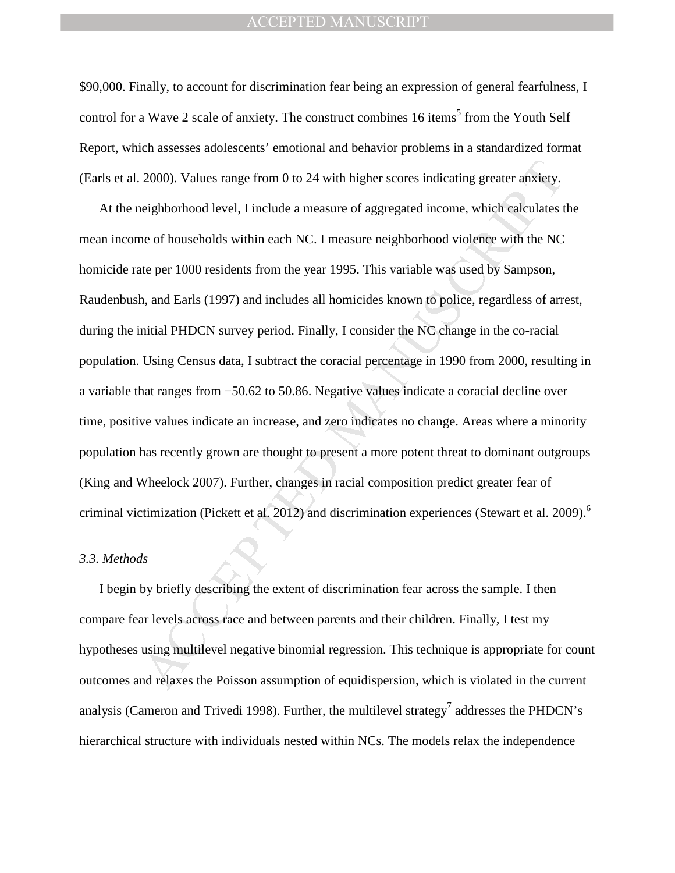\$90,000. Finally, to account for discrimination fear being an expression of general fearfulness, I control for a Wave 2 scale of anxiety. The construct combines 16 items<sup>5</sup> from the Youth Self Report, which assesses adolescents' emotional and behavior problems in a standardized format (Earls et al. 2000). Values range from 0 to 24 with higher scores indicating greater anxiety.

2000). Values range from 0 to 24 with higher scores indicating greater anxiety.<br>
ieighborhood level, I include a measure of aggregated income, which calculates t<br>
ne of households within each NC. I measure neighborhood vio At the neighborhood level, I include a measure of aggregated income, which calculates the mean income of households within each NC. I measure neighborhood violence with the NC homicide rate per 1000 residents from the year 1995. This variable was used by Sampson, Raudenbush, and Earls (1997) and includes all homicides known to police, regardless of arrest, during the initial PHDCN survey period. Finally, I consider the NC change in the co-racial population. Using Census data, I subtract the coracial percentage in 1990 from 2000, resulting in a variable that ranges from −50.62 to 50.86. Negative values indicate a coracial decline over time, positive values indicate an increase, and zero indicates no change. Areas where a minority population has recently grown are thought to present a more potent threat to dominant outgroups (King and Wheelock 2007). Further, changes in racial composition predict greater fear of criminal victimization (Pickett et al. 2012) and discrimination experiences (Stewart et al. 2009).<sup>6</sup>

### *3.3. Methods*

I begin by briefly describing the extent of discrimination fear across the sample. I then compare fear levels across race and between parents and their children. Finally, I test my hypotheses using multilevel negative binomial regression. This technique is appropriate for count outcomes and relaxes the Poisson assumption of equidispersion, which is violated in the current analysis (Cameron and Trivedi 1998). Further, the multilevel strategy<sup>7</sup> addresses the PHDCN's hierarchical structure with individuals nested within NCs. The models relax the independence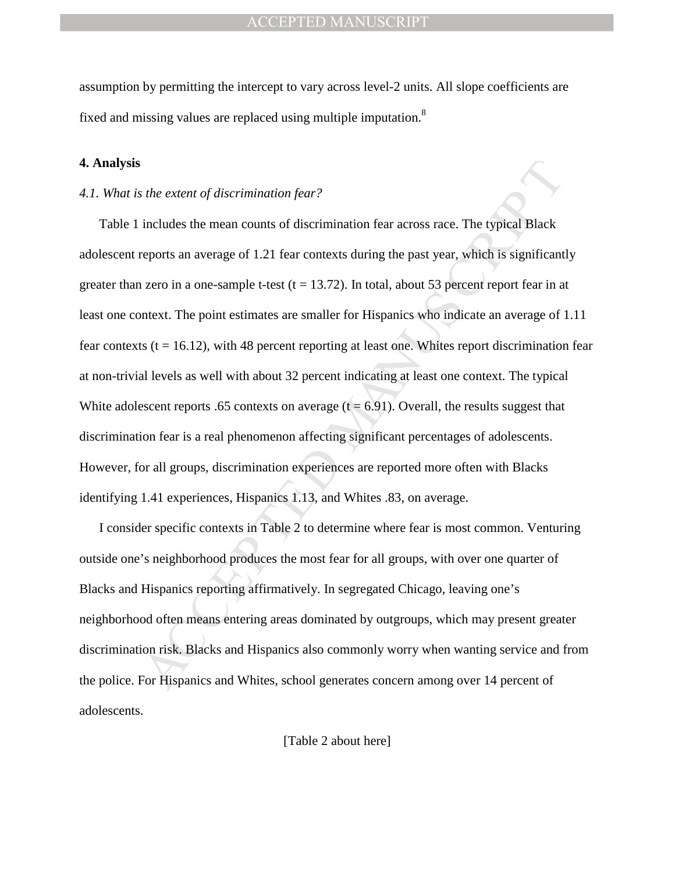assumption by permitting the intercept to vary across level-2 units. All slope coefficients are fixed and missing values are replaced using multiple imputation.<sup>8</sup>

#### **4. Analysis**

#### *4.1. What is the extent of discrimination fear?*

s the extent of discrimination fear?<br>
includes the mean counts of discrimination fear across race. The typical Black<br>
reports an average of 1.21 fear contexts during the past year, which is significant<br>
zero in a one-samp Table 1 includes the mean counts of discrimination fear across race. The typical Black adolescent reports an average of 1.21 fear contexts during the past year, which is significantly greater than zero in a one-sample t-test  $(t = 13.72)$ . In total, about 53 percent report fear in at least one context. The point estimates are smaller for Hispanics who indicate an average of 1.11 fear contexts ( $t = 16.12$ ), with 48 percent reporting at least one. Whites report discrimination fear at non-trivial levels as well with about 32 percent indicating at least one context. The typical White adolescent reports .65 contexts on average  $(t = 6.91)$ . Overall, the results suggest that discrimination fear is a real phenomenon affecting significant percentages of adolescents. However, for all groups, discrimination experiences are reported more often with Blacks identifying 1.41 experiences, Hispanics 1.13, and Whites .83, on average.

I consider specific contexts in Table 2 to determine where fear is most common. Venturing outside one's neighborhood produces the most fear for all groups, with over one quarter of Blacks and Hispanics reporting affirmatively. In segregated Chicago, leaving one's neighborhood often means entering areas dominated by outgroups, which may present greater discrimination risk. Blacks and Hispanics also commonly worry when wanting service and from the police. For Hispanics and Whites, school generates concern among over 14 percent of adolescents.

[Table 2 about here]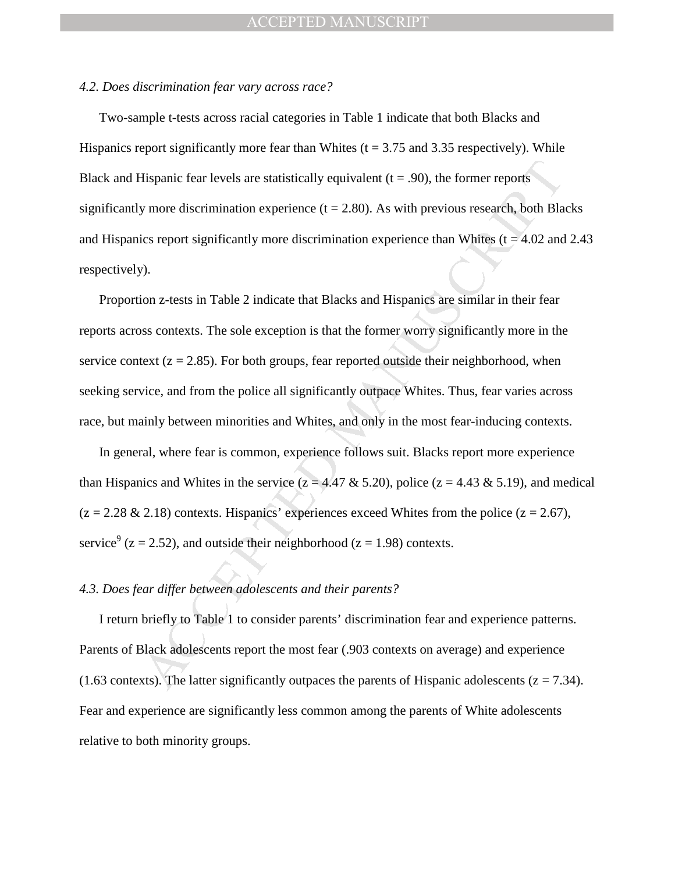#### *4.2. Does discrimination fear vary across race?*

Two-sample t-tests across racial categories in Table 1 indicate that both Blacks and Hispanics report significantly more fear than Whites ( $t = 3.75$  and 3.35 respectively). While Black and Hispanic fear levels are statistically equivalent  $(t = .90)$ , the former reports significantly more discrimination experience  $(t = 2.80)$ . As with previous research, both Blacks and Hispanics report significantly more discrimination experience than Whites ( $t = 4.02$  and 2.43 respectively).

Hispanic fear levels are statistically equivalent ( $t = .90$ ), the former reports<br>y more discrimination experience ( $t = 2.80$ ). As with previous research, both Bla<br>ics report significantly more discrimination experience tha Proportion z-tests in Table 2 indicate that Blacks and Hispanics are similar in their fear reports across contexts. The sole exception is that the former worry significantly more in the service context ( $z = 2.85$ ). For both groups, fear reported outside their neighborhood, when seeking service, and from the police all significantly outpace Whites. Thus, fear varies across race, but mainly between minorities and Whites, and only in the most fear-inducing contexts.

In general, where fear is common, experience follows suit. Blacks report more experience than Hispanics and Whites in the service ( $z = 4.47 \& 5.20$ ), police ( $z = 4.43 \& 5.19$ ), and medical  $(z = 2.28 \& 2.18)$  contexts. Hispanics' experiences exceed Whites from the police  $(z = 2.67)$ , service<sup>9</sup> ( $z = 2.52$ ), and outside their neighborhood ( $z = 1.98$ ) contexts.

#### *4.3. Does fear differ between adolescents and their parents?*

I return briefly to Table 1 to consider parents' discrimination fear and experience patterns. Parents of Black adolescents report the most fear (.903 contexts on average) and experience (1.63 contexts). The latter significantly outpaces the parents of Hispanic adolescents ( $z = 7.34$ ). Fear and experience are significantly less common among the parents of White adolescents relative to both minority groups.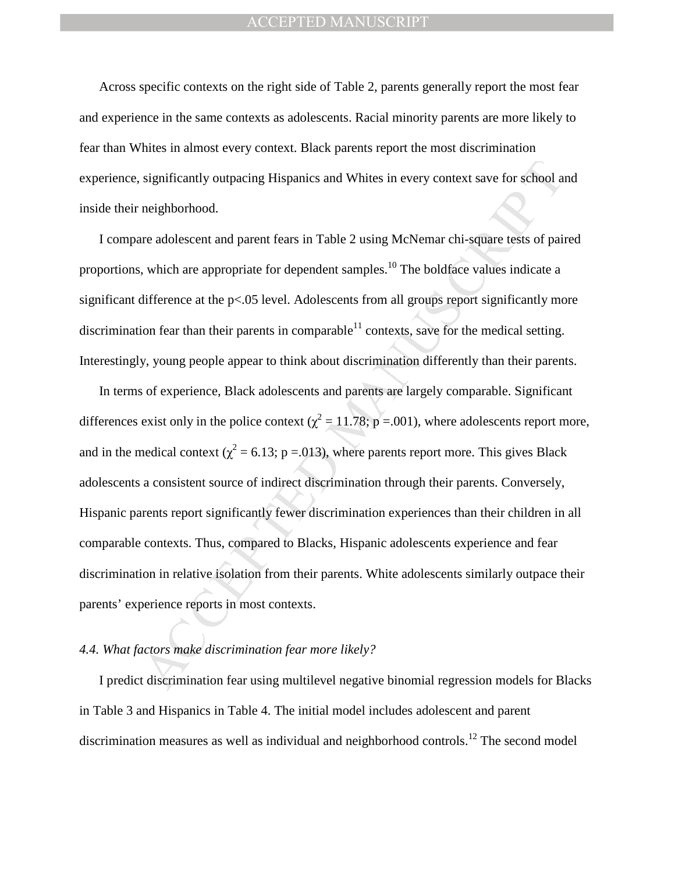Across specific contexts on the right side of Table 2, parents generally report the most fear and experience in the same contexts as adolescents. Racial minority parents are more likely to fear than Whites in almost every context. Black parents report the most discrimination experience, significantly outpacing Hispanics and Whites in every context save for school and inside their neighborhood.

I compare adolescent and parent fears in Table 2 using McNemar chi-square tests of paired proportions, which are appropriate for dependent samples.<sup>10</sup> The boldface values indicate a significant difference at the p<.05 level. Adolescents from all groups report significantly more discrimination fear than their parents in comparable<sup>11</sup> contexts, save for the medical setting. Interestingly, young people appear to think about discrimination differently than their parents.

significantly outpacing Hispanics and Whites in every context save for school a<br>neighborhood.<br>neighborhood.<br>near dolescent and parent fears in Table 2 using McNemar chi-square tests of pair<br>which are appropriate for depen In terms of experience, Black adolescents and parents are largely comparable. Significant differences exist only in the police context ( $\chi^2$  = 11.78; p = 001), where adolescents report more, and in the medical context ( $\chi^2$  = 6.13; p = 0.013), where parents report more. This gives Black adolescents a consistent source of indirect discrimination through their parents. Conversely, Hispanic parents report significantly fewer discrimination experiences than their children in all comparable contexts. Thus, compared to Blacks, Hispanic adolescents experience and fear discrimination in relative isolation from their parents. White adolescents similarly outpace their parents' experience reports in most contexts.

### *4.4. What factors make discrimination fear more likely?*

I predict discrimination fear using multilevel negative binomial regression models for Blacks in Table 3 and Hispanics in Table 4. The initial model includes adolescent and parent discrimination measures as well as individual and neighborhood controls.<sup>12</sup> The second model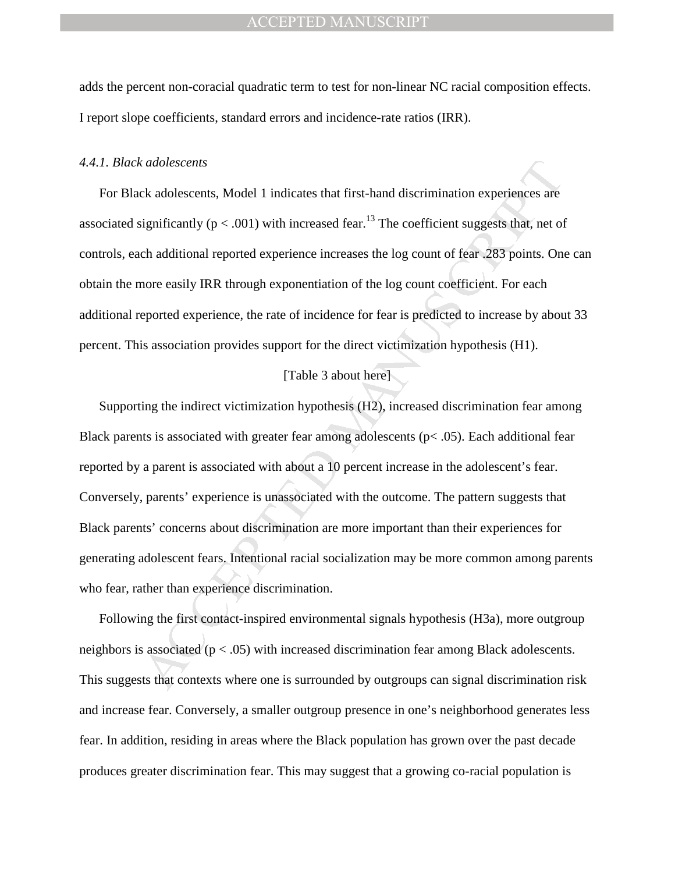adds the percent non-coracial quadratic term to test for non-linear NC racial composition effects. I report slope coefficients, standard errors and incidence-rate ratios (IRR).

#### *4.4.1. Black adolescents*

For Black adolescents, Model 1 indicates that first-hand discrimination experiences are associated significantly ( $p < .001$ ) with increased fear.<sup>13</sup> The coefficient suggests that, net of controls, each additional reported experience increases the log count of fear .283 points. One can obtain the more easily IRR through exponentiation of the log count coefficient. For each additional reported experience, the rate of incidence for fear is predicted to increase by about 33 percent. This association provides support for the direct victimization hypothesis (H1).

#### [Table 3 about here]

*ic adolescents*<br>
ck adolescents, Model 1 indicates that first-hand discrimination experiences are<br>
significantly (p < .001) with increased fear.<sup>13</sup> The coefficient suggests that, net of<br>
ch additional reported experienc Supporting the indirect victimization hypothesis (H2), increased discrimination fear among Black parents is associated with greater fear among adolescents ( $p$ < .05). Each additional fear reported by a parent is associated with about a 10 percent increase in the adolescent's fear. Conversely, parents' experience is unassociated with the outcome. The pattern suggests that Black parents' concerns about discrimination are more important than their experiences for generating adolescent fears. Intentional racial socialization may be more common among parents who fear, rather than experience discrimination.

Following the first contact-inspired environmental signals hypothesis (H3a), more outgroup neighbors is associated (p < .05) with increased discrimination fear among Black adolescents. This suggests that contexts where one is surrounded by outgroups can signal discrimination risk and increase fear. Conversely, a smaller outgroup presence in one's neighborhood generates less fear. In addition, residing in areas where the Black population has grown over the past decade produces greater discrimination fear. This may suggest that a growing co-racial population is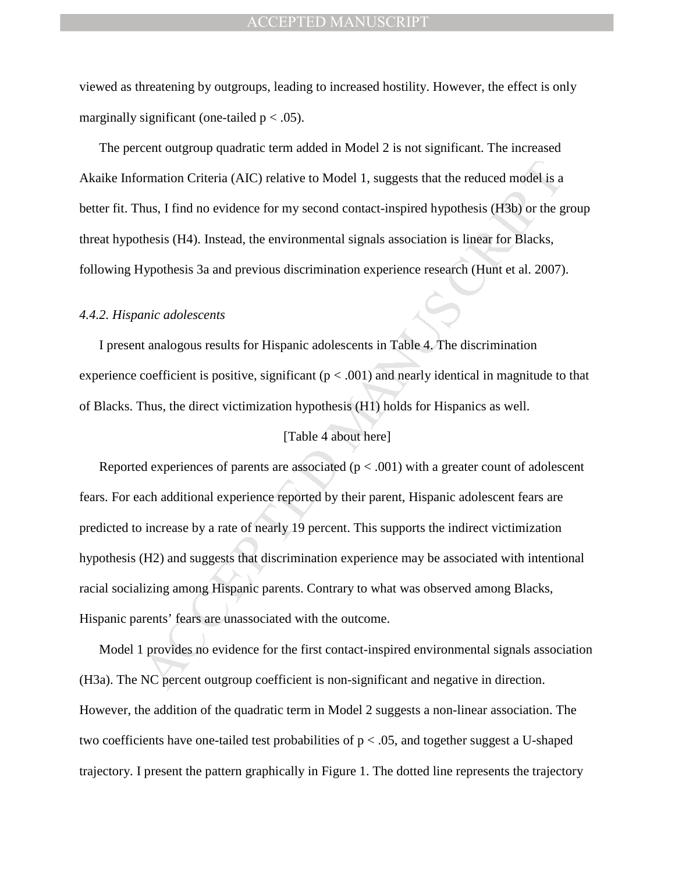viewed as threatening by outgroups, leading to increased hostility. However, the effect is only marginally significant (one-tailed  $p < .05$ ).

The percent outgroup quadratic term added in Model 2 is not significant. The increased Akaike Information Criteria (AIC) relative to Model 1, suggests that the reduced model is a better fit. Thus, I find no evidence for my second contact-inspired hypothesis (H3b) or the group threat hypothesis (H4). Instead, the environmental signals association is linear for Blacks, following Hypothesis 3a and previous discrimination experience research (Hunt et al. 2007).

#### *4.4.2. Hispanic adolescents*

I present analogous results for Hispanic adolescents in Table 4. The discrimination experience coefficient is positive, significant ( $p < .001$ ) and nearly identical in magnitude to that of Blacks. Thus, the direct victimization hypothesis (H1) holds for Hispanics as well.

#### [Table 4 about here]

by promation Criteria (AIC) relative to Model 1, suggests that the reduced model is a<br>hus, I find no evidence for my second contact-inspired hypothesis (H3b) or the g<br>thesis (H4). Instead, the environmental signals associa Reported experiences of parents are associated ( $p < .001$ ) with a greater count of adolescent fears. For each additional experience reported by their parent, Hispanic adolescent fears are predicted to increase by a rate of nearly 19 percent. This supports the indirect victimization hypothesis (H2) and suggests that discrimination experience may be associated with intentional racial socializing among Hispanic parents. Contrary to what was observed among Blacks, Hispanic parents' fears are unassociated with the outcome.

Model 1 provides no evidence for the first contact-inspired environmental signals association (H3a). The NC percent outgroup coefficient is non-significant and negative in direction. However, the addition of the quadratic term in Model 2 suggests a non-linear association. The two coefficients have one-tailed test probabilities of  $p < .05$ , and together suggest a U-shaped trajectory. I present the pattern graphically in Figure 1. The dotted line represents the trajectory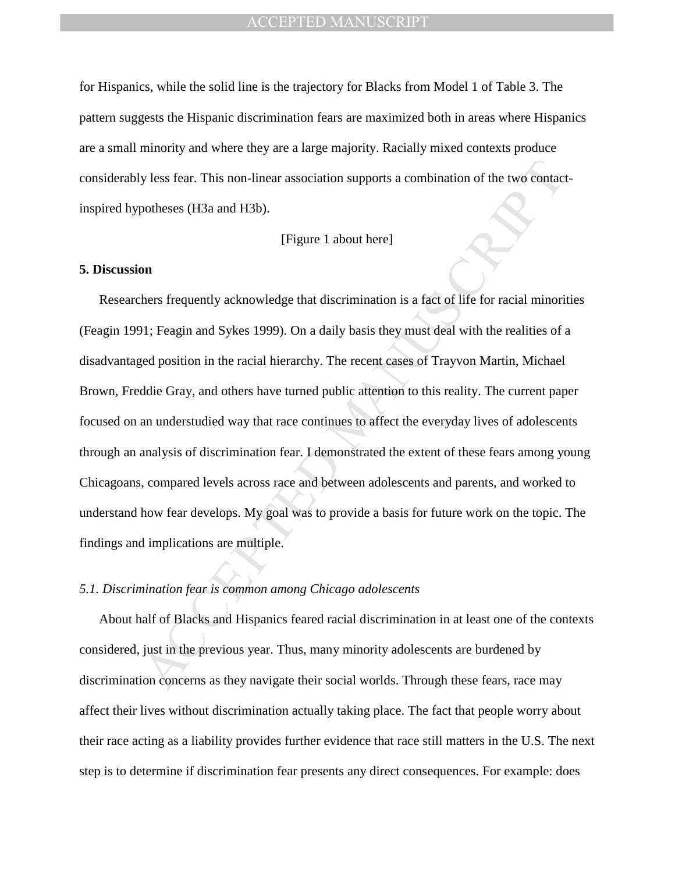for Hispanics, while the solid line is the trajectory for Blacks from Model 1 of Table 3. The pattern suggests the Hispanic discrimination fears are maximized both in areas where Hispanics are a small minority and where they are a large majority. Racially mixed contexts produce considerably less fear. This non-linear association supports a combination of the two contactinspired hypotheses (H3a and H3b).

#### [Figure 1 about here]

#### **5. Discussion**

y less fear. This non-linear association supports a combination of the two contact potheses (H3a and H3b).<br>
[Figure 1 about here]<br> **On**<br> **On**<br> **On**<br> **On**<br> **On**<br> **On**<br> **On**<br> **On**<br> **On**<br> **On**<br> **On**<br> **On**<br> **On**<br> **On**<br> **On**<br> Researchers frequently acknowledge that discrimination is a fact of life for racial minorities (Feagin 1991; Feagin and Sykes 1999). On a daily basis they must deal with the realities of a disadvantaged position in the racial hierarchy. The recent cases of Trayvon Martin, Michael Brown, Freddie Gray, and others have turned public attention to this reality. The current paper focused on an understudied way that race continues to affect the everyday lives of adolescents through an analysis of discrimination fear. I demonstrated the extent of these fears among young Chicagoans, compared levels across race and between adolescents and parents, and worked to understand how fear develops. My goal was to provide a basis for future work on the topic. The findings and implications are multiple.

#### *5.1. Discrimination fear is common among Chicago adolescents*

About half of Blacks and Hispanics feared racial discrimination in at least one of the contexts considered, just in the previous year. Thus, many minority adolescents are burdened by discrimination concerns as they navigate their social worlds. Through these fears, race may affect their lives without discrimination actually taking place. The fact that people worry about their race acting as a liability provides further evidence that race still matters in the U.S. The next step is to determine if discrimination fear presents any direct consequences. For example: does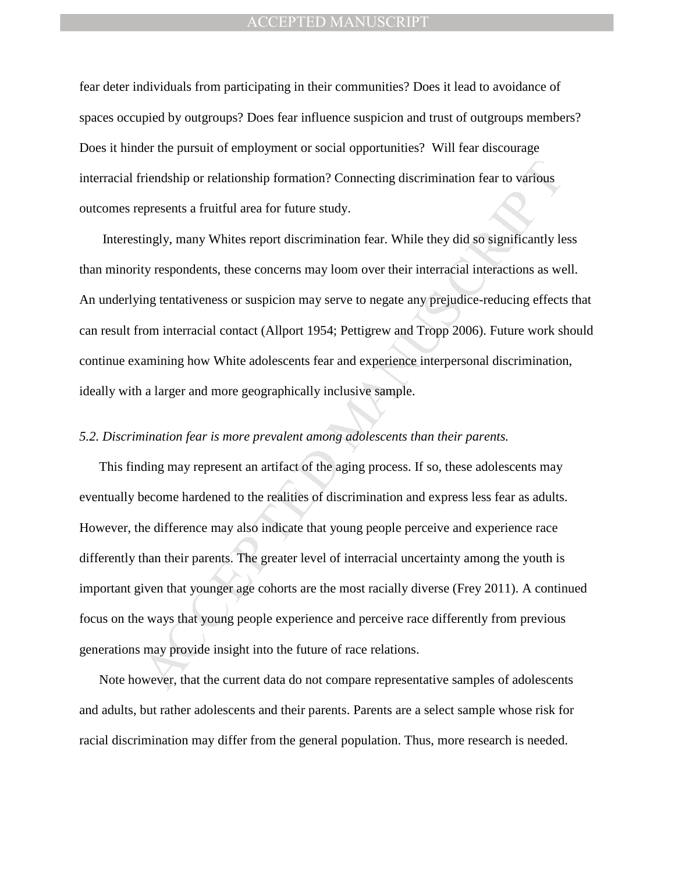fear deter individuals from participating in their communities? Does it lead to avoidance of spaces occupied by outgroups? Does fear influence suspicion and trust of outgroups members? Does it hinder the pursuit of employment or social opportunities? Will fear discourage interracial friendship or relationship formation? Connecting discrimination fear to various outcomes represents a fruitful area for future study.

 Interestingly, many Whites report discrimination fear. While they did so significantly less than minority respondents, these concerns may loom over their interracial interactions as well. An underlying tentativeness or suspicion may serve to negate any prejudice-reducing effects that can result from interracial contact (Allport 1954; Pettigrew and Tropp 2006). Future work should continue examining how White adolescents fear and experience interpersonal discrimination, ideally with a larger and more geographically inclusive sample.

#### *5.2. Discrimination fear is more prevalent among adolescents than their parents.*

riendship or relationship formation? Connecting discrimination fear to various<br>epresents a fruitful area for future study.<br>
Hy respondents, these concerns may loom over their internecial interactions as we<br>
ty respondents, This finding may represent an artifact of the aging process. If so, these adolescents may eventually become hardened to the realities of discrimination and express less fear as adults. However, the difference may also indicate that young people perceive and experience race differently than their parents. The greater level of interracial uncertainty among the youth is important given that younger age cohorts are the most racially diverse (Frey 2011). A continued focus on the ways that young people experience and perceive race differently from previous generations may provide insight into the future of race relations.

Note however, that the current data do not compare representative samples of adolescents and adults, but rather adolescents and their parents. Parents are a select sample whose risk for racial discrimination may differ from the general population. Thus, more research is needed.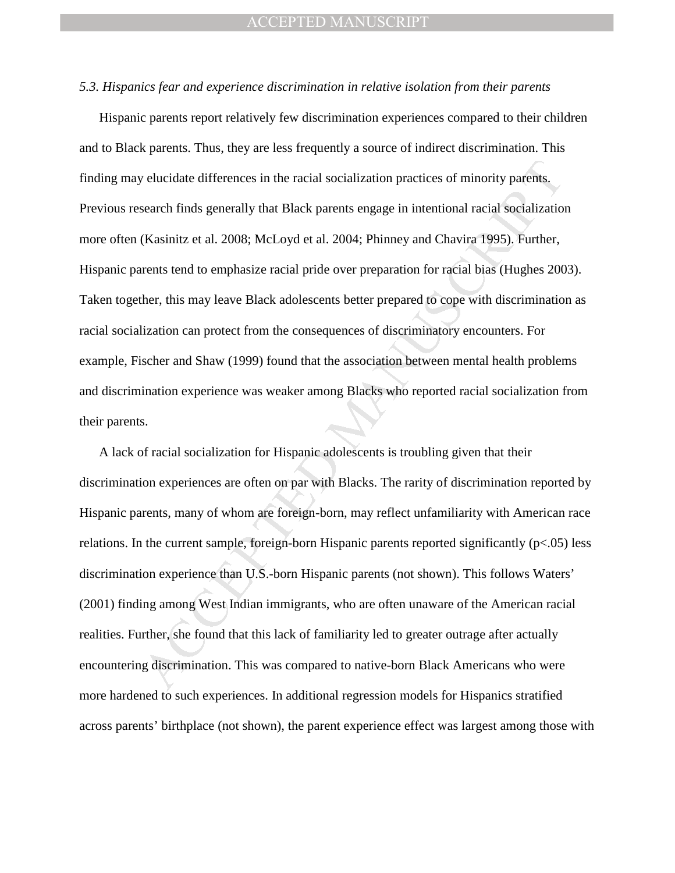#### *5.3. Hispanics fear and experience discrimination in relative isolation from their parents*

y elucidate differences in the racial socialization practices of minority parents.<br>
search finds generally that Black parents engage in intentional racial socializatio<br>
(Kasinitz et al. 2008; McLoyd et al. 2004; Phinney an Hispanic parents report relatively few discrimination experiences compared to their children and to Black parents. Thus, they are less frequently a source of indirect discrimination. This finding may elucidate differences in the racial socialization practices of minority parents. Previous research finds generally that Black parents engage in intentional racial socialization more often (Kasinitz et al. 2008; McLoyd et al. 2004; Phinney and Chavira 1995). Further, Hispanic parents tend to emphasize racial pride over preparation for racial bias (Hughes 2003). Taken together, this may leave Black adolescents better prepared to cope with discrimination as racial socialization can protect from the consequences of discriminatory encounters. For example, Fischer and Shaw (1999) found that the association between mental health problems and discrimination experience was weaker among Blacks who reported racial socialization from their parents.

A lack of racial socialization for Hispanic adolescents is troubling given that their discrimination experiences are often on par with Blacks. The rarity of discrimination reported by Hispanic parents, many of whom are foreign-born, may reflect unfamiliarity with American race relations. In the current sample, foreign-born Hispanic parents reported significantly (p<.05) less discrimination experience than U.S.-born Hispanic parents (not shown). This follows Waters' (2001) finding among West Indian immigrants, who are often unaware of the American racial realities. Further, she found that this lack of familiarity led to greater outrage after actually encountering discrimination. This was compared to native-born Black Americans who were more hardened to such experiences. In additional regression models for Hispanics stratified across parents' birthplace (not shown), the parent experience effect was largest among those with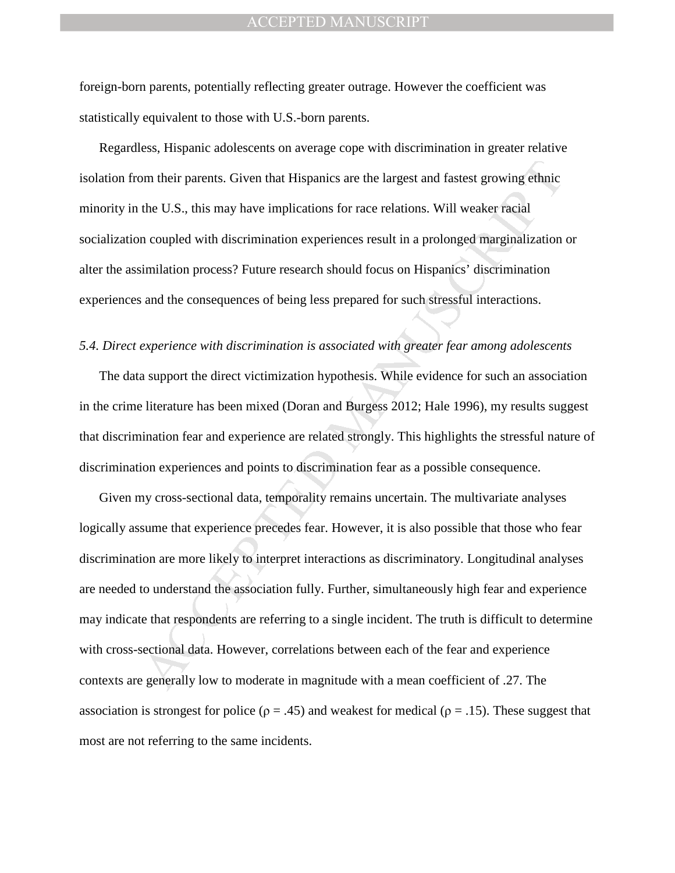foreign-born parents, potentially reflecting greater outrage. However the coefficient was statistically equivalent to those with U.S.-born parents.

Regardless, Hispanic adolescents on average cope with discrimination in greater relative isolation from their parents. Given that Hispanics are the largest and fastest growing ethnic minority in the U.S., this may have implications for race relations. Will weaker racial socialization coupled with discrimination experiences result in a prolonged marginalization or alter the assimilation process? Future research should focus on Hispanics' discrimination experiences and the consequences of being less prepared for such stressful interactions.

#### *5.4. Direct experience with discrimination is associated with greater fear among adolescents*

The data support the direct victimization hypothesis. While evidence for such an association in the crime literature has been mixed (Doran and Burgess 2012; Hale 1996), my results suggest that discrimination fear and experience are related strongly. This highlights the stressful nature of discrimination experiences and points to discrimination fear as a possible consequence.

om their parents. Given that Hispanics are the largest and fastest growing ethnic<br>the U.S., this may have implications for race relations. Will weaker racial<br>n coupled with discrimination experiences result in a prolonged Given my cross-sectional data, temporality remains uncertain. The multivariate analyses logically assume that experience precedes fear. However, it is also possible that those who fear discrimination are more likely to interpret interactions as discriminatory. Longitudinal analyses are needed to understand the association fully. Further, simultaneously high fear and experience may indicate that respondents are referring to a single incident. The truth is difficult to determine with cross-sectional data. However, correlations between each of the fear and experience contexts are generally low to moderate in magnitude with a mean coefficient of .27. The association is strongest for police ( $\rho = .45$ ) and weakest for medical ( $\rho = .15$ ). These suggest that most are not referring to the same incidents.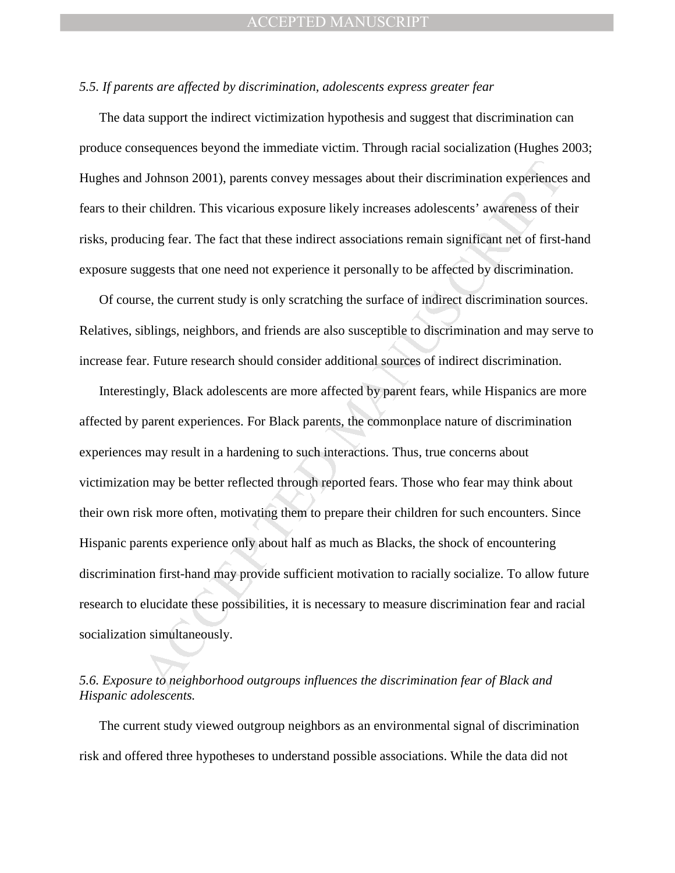#### *5.5. If parents are affected by discrimination, adolescents express greater fear*

The data support the indirect victimization hypothesis and suggest that discrimination can produce consequences beyond the immediate victim. Through racial socialization (Hughes 2003; Hughes and Johnson 2001), parents convey messages about their discrimination experiences and fears to their children. This vicarious exposure likely increases adolescents' awareness of their risks, producing fear. The fact that these indirect associations remain significant net of first-hand exposure suggests that one need not experience it personally to be affected by discrimination.

Of course, the current study is only scratching the surface of indirect discrimination sources. Relatives, siblings, neighbors, and friends are also susceptible to discrimination and may serve to increase fear. Future research should consider additional sources of indirect discrimination.

I Johnson 2001), parents convey messages about their discrimination experiences<br>ir children. This vicarious exposure likely increases adolescents' awareness of th<br>cing fear. The fact that these indirect associations remain Interestingly, Black adolescents are more affected by parent fears, while Hispanics are more affected by parent experiences. For Black parents, the commonplace nature of discrimination experiences may result in a hardening to such interactions. Thus, true concerns about victimization may be better reflected through reported fears. Those who fear may think about their own risk more often, motivating them to prepare their children for such encounters. Since Hispanic parents experience only about half as much as Blacks, the shock of encountering discrimination first-hand may provide sufficient motivation to racially socialize. To allow future research to elucidate these possibilities, it is necessary to measure discrimination fear and racial socialization simultaneously.

## *5.6. Exposure to neighborhood outgroups influences the discrimination fear of Black and Hispanic adolescents.*

The current study viewed outgroup neighbors as an environmental signal of discrimination risk and offered three hypotheses to understand possible associations. While the data did not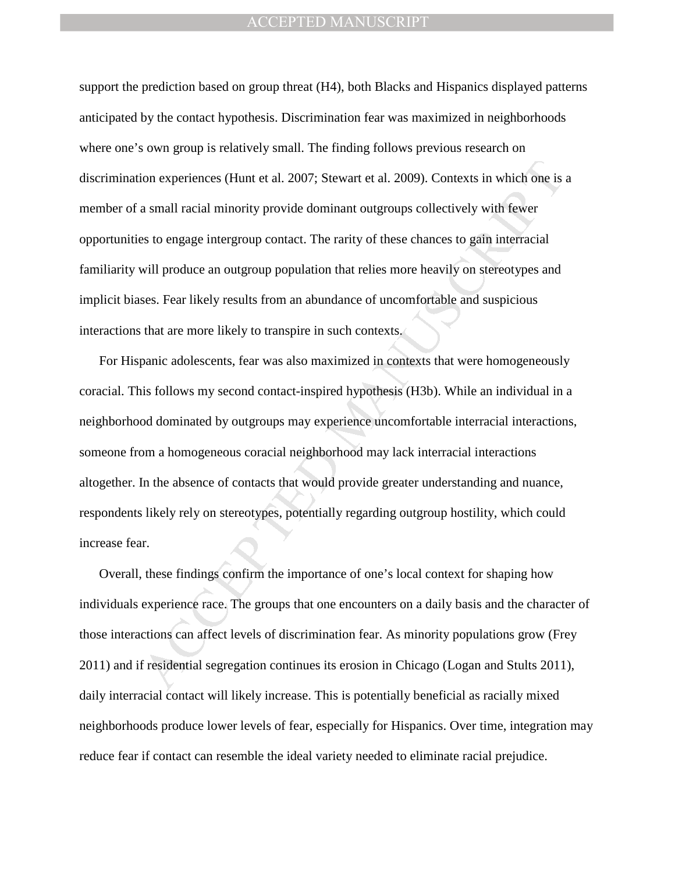support the prediction based on group threat (H4), both Blacks and Hispanics displayed patterns anticipated by the contact hypothesis. Discrimination fear was maximized in neighborhoods where one's own group is relatively small. The finding follows previous research on discrimination experiences (Hunt et al. 2007; Stewart et al. 2009). Contexts in which one is a member of a small racial minority provide dominant outgroups collectively with fewer opportunities to engage intergroup contact. The rarity of these chances to gain interracial familiarity will produce an outgroup population that relies more heavily on stereotypes and implicit biases. Fear likely results from an abundance of uncomfortable and suspicious interactions that are more likely to transpire in such contexts.

ion experiences (Hunt et al. 2007; Stewart et al. 2009). Contexts in which one is<br>a small racial minority provide dominant outgroups collectively with fewer<br>as to engage intergroup contact. The rarity of these chances to g For Hispanic adolescents, fear was also maximized in contexts that were homogeneously coracial. This follows my second contact-inspired hypothesis (H3b). While an individual in a neighborhood dominated by outgroups may experience uncomfortable interracial interactions, someone from a homogeneous coracial neighborhood may lack interracial interactions altogether. In the absence of contacts that would provide greater understanding and nuance, respondents likely rely on stereotypes, potentially regarding outgroup hostility, which could increase fear.

Overall, these findings confirm the importance of one's local context for shaping how individuals experience race. The groups that one encounters on a daily basis and the character of those interactions can affect levels of discrimination fear. As minority populations grow (Frey 2011) and if residential segregation continues its erosion in Chicago (Logan and Stults 2011), daily interracial contact will likely increase. This is potentially beneficial as racially mixed neighborhoods produce lower levels of fear, especially for Hispanics. Over time, integration may reduce fear if contact can resemble the ideal variety needed to eliminate racial prejudice.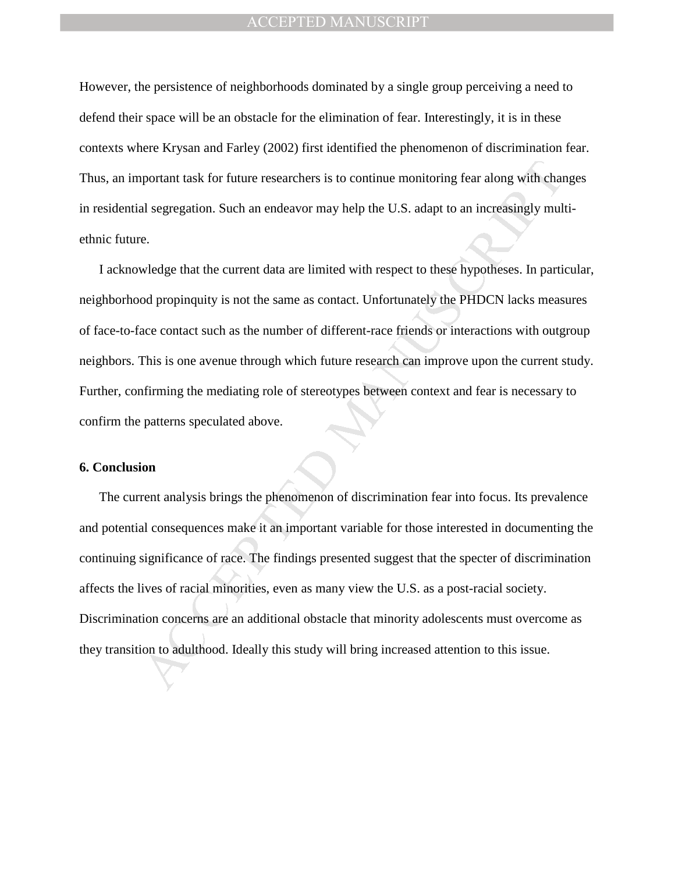However, the persistence of neighborhoods dominated by a single group perceiving a need to defend their space will be an obstacle for the elimination of fear. Interestingly, it is in these contexts where Krysan and Farley (2002) first identified the phenomenon of discrimination fear. Thus, an important task for future researchers is to continue monitoring fear along with changes in residential segregation. Such an endeavor may help the U.S. adapt to an increasingly multiethnic future.

mortant task for future researchers is to continue monitoring fear along with charand sure experiencies and sure and sure and sure and sure and sure expected and sure expected and sure expected and are limited with respect I acknowledge that the current data are limited with respect to these hypotheses. In particular, neighborhood propinquity is not the same as contact. Unfortunately the PHDCN lacks measures of face-to-face contact such as the number of different-race friends or interactions with outgroup neighbors. This is one avenue through which future research can improve upon the current study. Further, confirming the mediating role of stereotypes between context and fear is necessary to confirm the patterns speculated above.

#### **6. Conclusion**

The current analysis brings the phenomenon of discrimination fear into focus. Its prevalence and potential consequences make it an important variable for those interested in documenting the continuing significance of race. The findings presented suggest that the specter of discrimination affects the lives of racial minorities, even as many view the U.S. as a post-racial society. Discrimination concerns are an additional obstacle that minority adolescents must overcome as they transition to adulthood. Ideally this study will bring increased attention to this issue.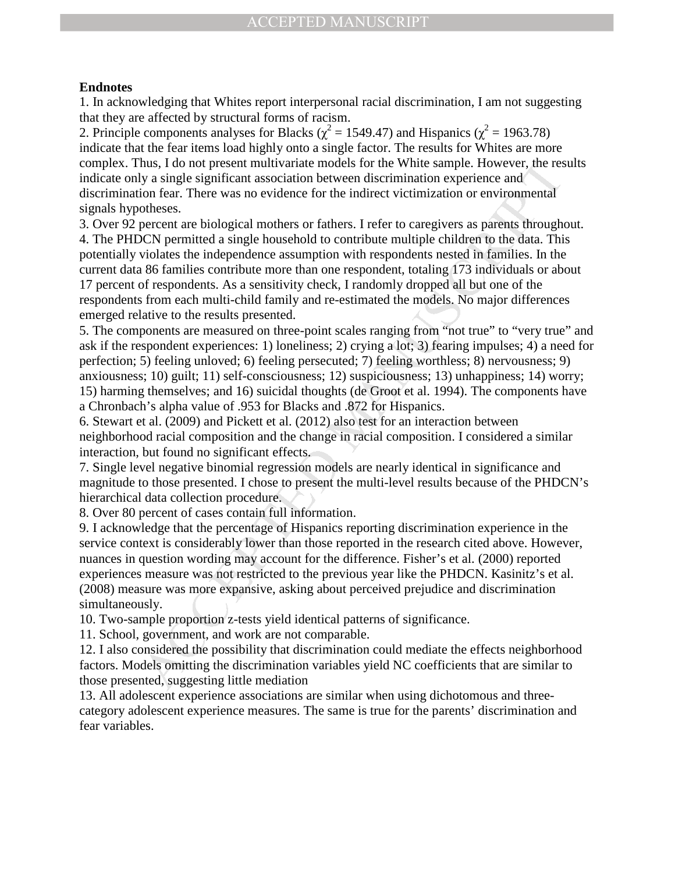## **Endnotes**

1. In acknowledging that Whites report interpersonal racial discrimination, I am not suggesting that they are affected by structural forms of racism.

2. Principle components analyses for Blacks ( $\chi^2$  = 1549.47) and Hispanics ( $\chi^2$  = 1963.78) indicate that the fear items load highly onto a single factor. The results for Whites are more complex. Thus, I do not present multivariate models for the White sample. However, the results indicate only a single significant association between discrimination experience and discrimination fear. There was no evidence for the indirect victimization or environmental signals hypotheses.

hus, I do not present multivariate models for the White sample. Howeve, the respective<br>hus, it is an in the same sociation between discrimination experience and<br>on fear. There was no evidence for the indirect victimization 3. Over 92 percent are biological mothers or fathers. I refer to caregivers as parents throughout. 4. The PHDCN permitted a single household to contribute multiple children to the data. This potentially violates the independence assumption with respondents nested in families. In the current data 86 families contribute more than one respondent, totaling 173 individuals or about 17 percent of respondents. As a sensitivity check, I randomly dropped all but one of the respondents from each multi-child family and re-estimated the models. No major differences emerged relative to the results presented.

5. The components are measured on three-point scales ranging from "not true" to "very true" and ask if the respondent experiences: 1) loneliness; 2) crying a lot; 3) fearing impulses; 4) a need for perfection; 5) feeling unloved; 6) feeling persecuted; 7) feeling worthless; 8) nervousness; 9) anxiousness; 10) guilt; 11) self-consciousness; 12) suspiciousness; 13) unhappiness; 14) worry; 15) harming themselves; and 16) suicidal thoughts (de Groot et al. 1994). The components have a Chronbach's alpha value of .953 for Blacks and .872 for Hispanics.

6. Stewart et al. (2009) and Pickett et al. (2012) also test for an interaction between neighborhood racial composition and the change in racial composition. I considered a similar interaction, but found no significant effects.

7. Single level negative binomial regression models are nearly identical in significance and magnitude to those presented. I chose to present the multi-level results because of the PHDCN's hierarchical data collection procedure.

8. Over 80 percent of cases contain full information.

9. I acknowledge that the percentage of Hispanics reporting discrimination experience in the service context is considerably lower than those reported in the research cited above. However, nuances in question wording may account for the difference. Fisher's et al. (2000) reported experiences measure was not restricted to the previous year like the PHDCN. Kasinitz's et al. (2008) measure was more expansive, asking about perceived prejudice and discrimination simultaneously.

10. Two-sample proportion z-tests yield identical patterns of significance.

11. School, government, and work are not comparable.

12. I also considered the possibility that discrimination could mediate the effects neighborhood factors. Models omitting the discrimination variables yield NC coefficients that are similar to those presented, suggesting little mediation

13. All adolescent experience associations are similar when using dichotomous and threecategory adolescent experience measures. The same is true for the parents' discrimination and fear variables.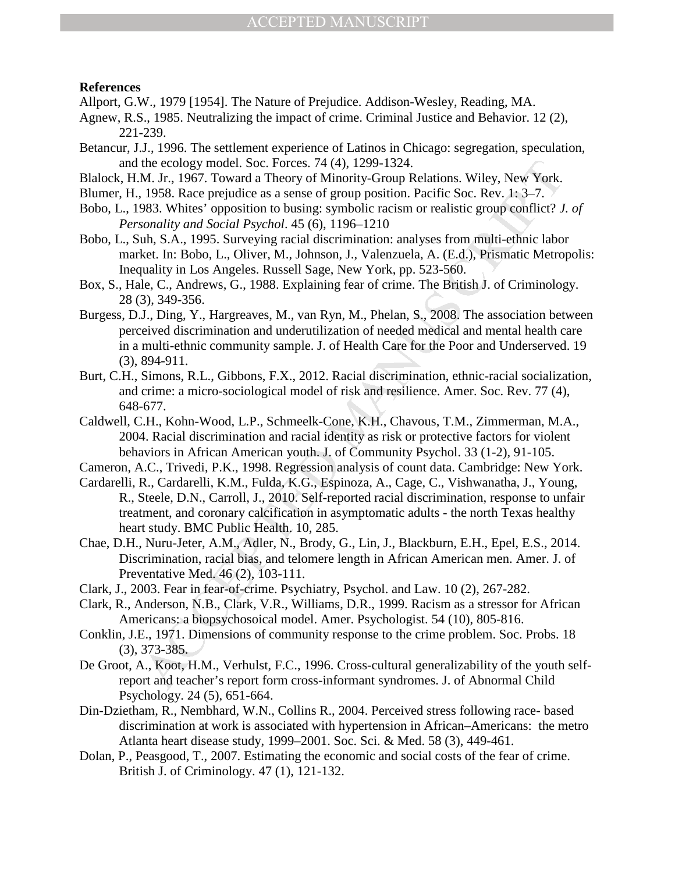#### **References**

Allport, G.W., 1979 [1954]. The Nature of Prejudice. Addison-Wesley, Reading, MA.

- Agnew, R.S., 1985. Neutralizing the impact of crime. Criminal Justice and Behavior. 12 (2), 221-239.
- Betancur, J.J., 1996. The settlement experience of Latinos in Chicago: segregation, speculation, and the ecology model. Soc. Forces. 74 (4), 1299-1324.
- Blalock, H.M. Jr., 1967. Toward a Theory of Minority-Group Relations. Wiley, New York.
- Blumer, H., 1958. Race prejudice as a sense of group position. Pacific Soc. Rev. 1: 3–7.
- Bobo, L., 1983. Whites' opposition to busing: symbolic racism or realistic group conflict? *J. of Personality and Social Psychol*. 45 (6), 1196–1210
- Bobo, L., Suh, S.A., 1995. Surveying racial discrimination: analyses from multi-ethnic labor market. In: Bobo, L., Oliver, M., Johnson, J., Valenzuela, A. (E.d.), Prismatic Metropolis: Inequality in Los Angeles. Russell Sage, New York, pp. 523-560.
- Box, S., Hale, C., Andrews, G., 1988. Explaining fear of crime. The British J. of Criminology. 28 (3), 349-356.
- the ecology model. Soc. Forces. 74 (4), 1299-1324.<br>M. J.r., 1967. Toward a Theory of Minority-Group Relations. Wiley, New York.<br>1958. Race prejudice as a sense of group position. Pacific Soc. Rev. 1: 3-7.<br>1988. Whites 'opp Burgess, D.J., Ding, Y., Hargreaves, M., van Ryn, M., Phelan, S., 2008. The association between perceived discrimination and underutilization of needed medical and mental health care in a multi-ethnic community sample. J. of Health Care for the Poor and Underserved. 19 (3), 894-911.
- Burt, C.H., Simons, R.L., Gibbons, F.X., 2012. Racial discrimination, ethnic-racial socialization, and crime: a micro-sociological model of risk and resilience. Amer. Soc. Rev. 77 (4), 648-677.
- Caldwell, C.H., Kohn-Wood, L.P., Schmeelk-Cone, K.H., Chavous, T.M., Zimmerman, M.A., 2004. Racial discrimination and racial identity as risk or protective factors for violent behaviors in African American youth. J. of Community Psychol. 33 (1-2), 91-105.
- Cameron, A.C., Trivedi, P.K., 1998. Regression analysis of count data. Cambridge: New York.
- Cardarelli, R., Cardarelli, K.M., Fulda, K.G., Espinoza, A., Cage, C., Vishwanatha, J., Young, R., Steele, D.N., Carroll, J., 2010. Self-reported racial discrimination, response to unfair treatment, and coronary calcification in asymptomatic adults - the north Texas healthy heart study. BMC Public Health. 10, 285.
- Chae, D.H., Nuru-Jeter, A.M., Adler, N., Brody, G., Lin, J., Blackburn, E.H., Epel, E.S., 2014. Discrimination, racial bias, and telomere length in African American men. Amer. J. of Preventative Med. 46 (2), 103-111.
- Clark, J., 2003. Fear in fear-of-crime. Psychiatry, Psychol. and Law. 10 (2), 267-282.
- Clark, R., Anderson, N.B., Clark, V.R., Williams, D.R., 1999. Racism as a stressor for African Americans: a biopsychosoical model. Amer. Psychologist. 54 (10), 805-816.
- Conklin, J.E., 1971. Dimensions of community response to the crime problem. Soc. Probs. 18 (3), 373-385.
- De Groot, A., Koot, H.M., Verhulst, F.C., 1996. Cross-cultural generalizability of the youth selfreport and teacher's report form cross-informant syndromes. J. of Abnormal Child Psychology. 24 (5), 651-664.
- Din-Dzietham, R., Nembhard, W.N., Collins R., 2004. Perceived stress following race- based discrimination at work is associated with hypertension in African–Americans: the metro Atlanta heart disease study, 1999–2001. Soc. Sci. & Med. 58 (3), 449-461.
- Dolan, P., Peasgood, T., 2007. Estimating the economic and social costs of the fear of crime. British J. of Criminology. 47 (1), 121-132.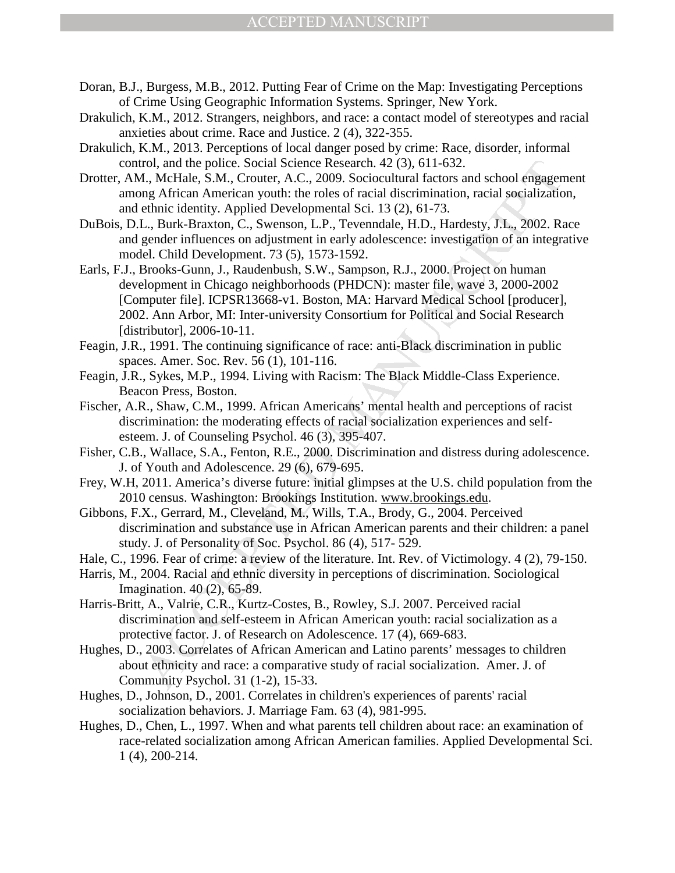- Doran, B.J., Burgess, M.B., 2012. Putting Fear of Crime on the Map: Investigating Perceptions of Crime Using Geographic Information Systems. Springer, New York.
- Drakulich, K.M., 2012. Strangers, neighbors, and race: a contact model of stereotypes and racial anxieties about crime. Race and Justice. 2 (4), 322-355.
- Drakulich, K.M., 2013. Perceptions of local danger posed by crime: Race, disorder, informal control, and the police. Social Science Research. 42 (3), 611-632.
- Drotter, AM., McHale, S.M., Crouter, A.C., 2009. Sociocultural factors and school engagement among African American youth: the roles of racial discrimination, racial socialization, and ethnic identity. Applied Developmental Sci. 13 (2), 61-73.
- DuBois, D.L., Burk-Braxton, C., Swenson, L.P., Tevenndale, H.D., Hardesty, J.L., 2002. Race and gender influences on adjustment in early adolescence: investigation of an integrative model. Child Development. 73 (5), 1573-1592.
- rol, and the police. Social Science Research. 42 (3), 611-632.<br>
Let, MeHale, S.M., Crouter, A.C., 2009. Sociocultural factors and school engagen<br>
and school engageneral Science Research. 42 (3), 61-673.<br>
L., Burk-Braxton, Earls, F.J., Brooks-Gunn, J., Raudenbush, S.W., Sampson, R.J., 2000. Project on human development in Chicago neighborhoods (PHDCN): master file, wave 3, 2000-2002 [Computer file]. ICPSR13668-v1. Boston, MA: Harvard Medical School [producer], 2002. Ann Arbor, MI: Inter-university Consortium for Political and Social Research [distributor], 2006-10-11.
- Feagin, J.R., 1991. The continuing significance of race: anti-Black discrimination in public spaces. Amer. Soc. Rev. 56 (1), 101-116.
- Feagin, J.R., Sykes, M.P., 1994. Living with Racism: The Black Middle-Class Experience. Beacon Press, Boston.
- Fischer, A.R., Shaw, C.M., 1999. African Americans' mental health and perceptions of racist discrimination: the moderating effects of racial socialization experiences and selfesteem. J. of Counseling Psychol. 46 (3), 395-407.
- Fisher, C.B., Wallace, S.A., Fenton, R.E., 2000. Discrimination and distress during adolescence. J. of Youth and Adolescence. 29 (6), 679-695.
- Frey, W.H, 2011. America's diverse future: initial glimpses at the U.S. child population from the 2010 census. Washington: Brookings Institution. www.brookings.edu.
- Gibbons, F.X., Gerrard, M., Cleveland, M., Wills, T.A., Brody, G., 2004. Perceived discrimination and substance use in African American parents and their children: a panel study. J. of Personality of Soc. Psychol. 86 (4), 517- 529.
- Hale, C., 1996. Fear of crime: a review of the literature. Int. Rev. of Victimology. 4 (2), 79-150.
- Harris, M., 2004. Racial and ethnic diversity in perceptions of discrimination. Sociological Imagination. 40 (2), 65-89.
- Harris-Britt, A., Valrie, C.R., Kurtz-Costes, B., Rowley, S.J. 2007. Perceived racial discrimination and self-esteem in African American youth: racial socialization as a protective factor. J. of Research on Adolescence. 17 (4), 669-683.
- Hughes, D., 2003. Correlates of African American and Latino parents' messages to children about ethnicity and race: a comparative study of racial socialization. Amer. J. of Community Psychol. 31 (1-2), 15-33.
- Hughes, D., Johnson, D., 2001. Correlates in children's experiences of parents' racial socialization behaviors. J. Marriage Fam. 63 (4), 981-995.
- Hughes, D., Chen, L., 1997. When and what parents tell children about race: an examination of race-related socialization among African American families. Applied Developmental Sci. 1 (4), 200-214.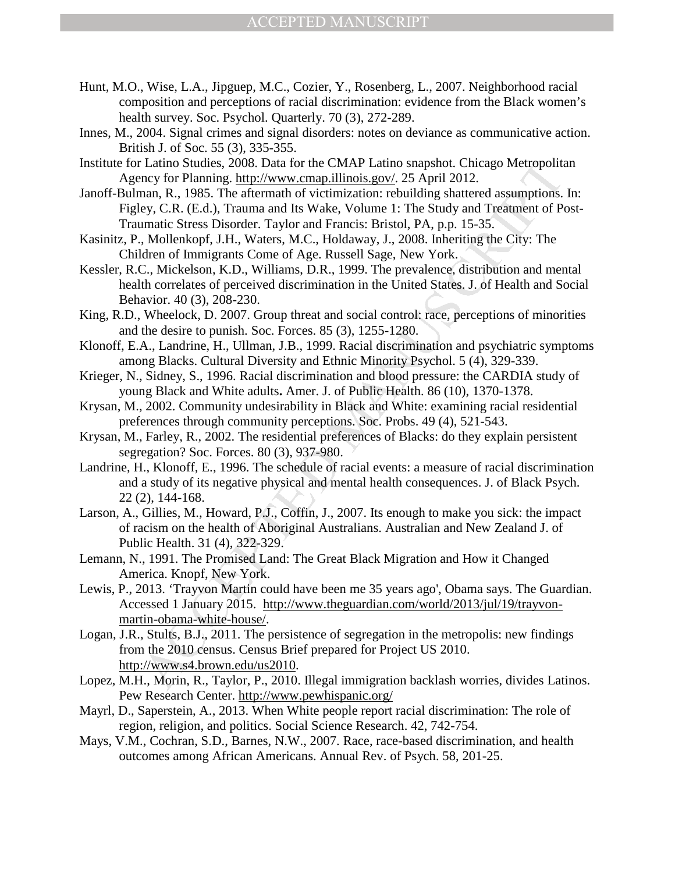- Hunt, M.O., Wise, L.A., Jipguep, M.C., Cozier, Y., Rosenberg, L., 2007. Neighborhood racial composition and perceptions of racial discrimination: evidence from the Black women's health survey. Soc. Psychol. Quarterly. 70 (3), 272-289.
- Innes, M., 2004. Signal crimes and signal disorders: notes on deviance as communicative action. British J. of Soc. 55 (3), 335-355.
- Institute for Latino Studies, 2008. Data for the CMAP Latino snapshot. Chicago Metropolitan Agency for Planning. http://www.cmap.illinois.gov/. 25 April 2012.
- Janoff-Bulman, R., 1985. The aftermath of victimization: rebuilding shattered assumptions. In: Figley, C.R. (E.d.), Trauma and Its Wake, Volume 1: The Study and Treatment of Post-Traumatic Stress Disorder. Taylor and Francis: Bristol, PA, p.p. 15-35.
- Kasinitz, P., Mollenkopf, J.H., Waters, M.C., Holdaway, J., 2008. Inheriting the City: The Children of Immigrants Come of Age. Russell Sage, New York.
- Latino Studies, 2008. Data for the CMAP Latino snapshot. Chicago Metropolite<br>Latino Studies, 2008. Data for the CMAP Latino snapshot. Chicago Metropolite<br>nna, R., 1985. The aftermath of victimization: rebuiding shattered Kessler, R.C., Mickelson, K.D., Williams, D.R., 1999. The prevalence, distribution and mental health correlates of perceived discrimination in the United States. J. of Health and Social Behavior. 40 (3), 208-230.
- King, R.D., Wheelock, D. 2007. Group threat and social control: race, perceptions of minorities and the desire to punish. Soc. Forces. 85 (3), 1255-1280.
- Klonoff, E.A., Landrine, H., Ullman, J.B., 1999. Racial discrimination and psychiatric symptoms among Blacks. Cultural Diversity and Ethnic Minority Psychol. 5 (4), 329-339.
- Krieger, N., Sidney, S., 1996. Racial discrimination and blood pressure: the CARDIA study of young Black and White adults**.** Amer. J. of Public Health. 86 (10), 1370-1378.
- Krysan, M., 2002. Community undesirability in Black and White: examining racial residential preferences through community perceptions. Soc. Probs. 49 (4), 521-543.
- Krysan, M., Farley, R., 2002. The residential preferences of Blacks: do they explain persistent segregation? Soc. Forces. 80 (3), 937-980.
- Landrine, H., Klonoff, E., 1996. The schedule of racial events: a measure of racial discrimination and a study of its negative physical and mental health consequences. J. of Black Psych. 22 (2), 144-168.
- Larson, A., Gillies, M., Howard, P.J., Coffin, J., 2007. Its enough to make you sick: the impact of racism on the health of Aboriginal Australians. Australian and New Zealand J. of Public Health. 31 (4), 322-329.
- Lemann, N., 1991. The Promised Land: The Great Black Migration and How it Changed America. Knopf, New York.
- Lewis, P., 2013. 'Trayvon Martin could have been me 35 years ago', Obama says. The Guardian. Accessed 1 January 2015. http://www.theguardian.com/world/2013/jul/19/trayvonmartin-obama-white-house/.
- Logan, J.R., Stults, B.J., 2011. The persistence of segregation in the metropolis: new findings from the 2010 census. Census Brief prepared for Project US 2010. http://www.s4.brown.edu/us2010.
- Lopez, M.H., Morin, R., Taylor, P., 2010. Illegal immigration backlash worries, divides Latinos. Pew Research Center. http://www.pewhispanic.org/
- Mayrl, D., Saperstein, A., 2013. When White people report racial discrimination: The role of region, religion, and politics. Social Science Research. 42, 742-754.
- Mays, V.M., Cochran, S.D., Barnes, N.W., 2007. Race, race-based discrimination, and health outcomes among African Americans. Annual Rev. of Psych. 58, 201-25.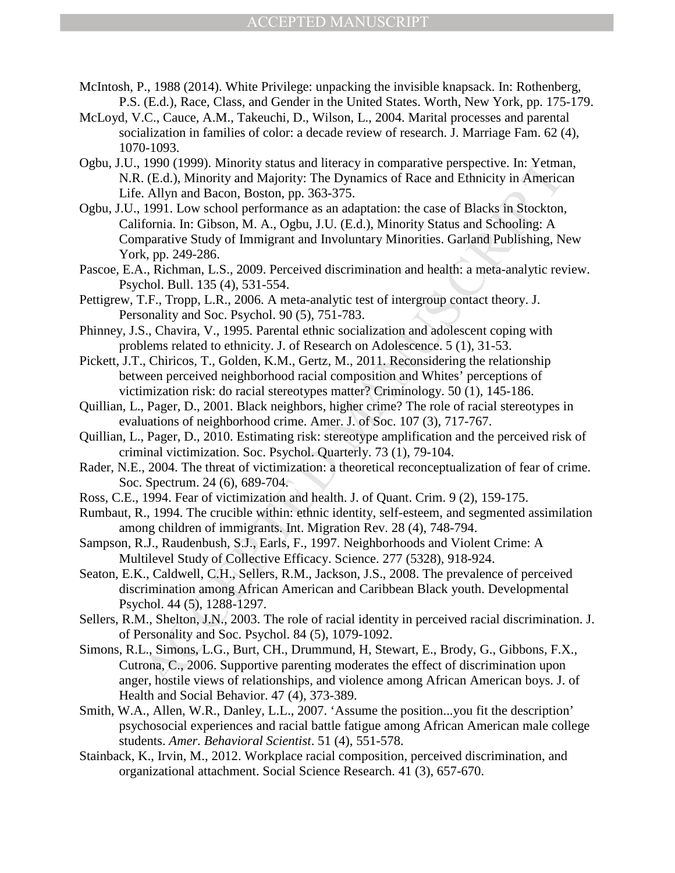- McIntosh, P., 1988 (2014). White Privilege: unpacking the invisible knapsack. In: Rothenberg, P.S. (E.d.), Race, Class, and Gender in the United States. Worth, New York, pp. 175-179.
- McLoyd, V.C., Cauce, A.M., Takeuchi, D., Wilson, L., 2004. Marital processes and parental socialization in families of color: a decade review of research. J. Marriage Fam. 62 (4), 1070-1093.
- Ogbu, J.U., 1990 (1999). Minority status and literacy in comparative perspective. In: Yetman, N.R. (E.d.), Minority and Majority: The Dynamics of Race and Ethnicity in American Life. Allyn and Bacon, Boston, pp. 363-375.
- 1990 (1999). Minority status and literacy in comparative perspective. In: Yethna (e. (E.d.), Minority and Majority: The Dynamics of Race and Ethnicity in Americs. Allyn and Bacon, Boston, pp. 363-375.<br>
1991. Low school per Ogbu, J.U., 1991. Low school performance as an adaptation: the case of Blacks in Stockton, California. In: Gibson, M. A., Ogbu, J.U. (E.d.), Minority Status and Schooling: A Comparative Study of Immigrant and Involuntary Minorities. Garland Publishing, New York, pp. 249-286.
- Pascoe, E.A., Richman, L.S., 2009. Perceived discrimination and health: a meta-analytic review. Psychol. Bull. 135 (4), 531-554.
- Pettigrew, T.F., Tropp, L.R., 2006. A meta-analytic test of intergroup contact theory. J. Personality and Soc. Psychol. 90 (5), 751-783.
- Phinney, J.S., Chavira, V., 1995. Parental ethnic socialization and adolescent coping with problems related to ethnicity. J. of Research on Adolescence. 5 (1), 31-53.
- Pickett, J.T., Chiricos, T., Golden, K.M., Gertz, M., 2011. Reconsidering the relationship between perceived neighborhood racial composition and Whites' perceptions of victimization risk: do racial stereotypes matter? Criminology. 50 (1), 145-186.
- Quillian, L., Pager, D., 2001. Black neighbors, higher crime? The role of racial stereotypes in evaluations of neighborhood crime. Amer. J. of Soc. 107 (3), 717-767.
- Quillian, L., Pager, D., 2010. Estimating risk: stereotype amplification and the perceived risk of criminal victimization. Soc. Psychol. Quarterly. 73 (1), 79-104.
- Rader, N.E., 2004. The threat of victimization: a theoretical reconceptualization of fear of crime. Soc. Spectrum. 24 (6), 689-704.
- Ross, C.E., 1994. Fear of victimization and health. J. of Quant. Crim. 9 (2), 159-175.
- Rumbaut, R., 1994. The crucible within: ethnic identity, self-esteem, and segmented assimilation among children of immigrants. Int. Migration Rev. 28 (4), 748-794.
- Sampson, R.J., Raudenbush, S.J., Earls, F., 1997. Neighborhoods and Violent Crime: A Multilevel Study of Collective Efficacy. Science. 277 (5328), 918-924.
- Seaton, E.K., Caldwell, C.H., Sellers, R.M., Jackson, J.S., 2008. The prevalence of perceived discrimination among African American and Caribbean Black youth. Developmental Psychol. 44 (5), 1288-1297.
- Sellers, R.M., Shelton, J.N., 2003. The role of racial identity in perceived racial discrimination. J. of Personality and Soc. Psychol. 84 (5), 1079-1092.
- Simons, R.L., Simons, L.G., Burt, CH., Drummund, H, Stewart, E., Brody, G., Gibbons, F.X., Cutrona, C., 2006. Supportive parenting moderates the effect of discrimination upon anger, hostile views of relationships, and violence among African American boys. J. of Health and Social Behavior. 47 (4), 373-389.
- Smith, W.A., Allen, W.R., Danley, L.L., 2007. 'Assume the position...you fit the description' psychosocial experiences and racial battle fatigue among African American male college students. *Amer. Behavioral Scientist*. 51 (4), 551-578.
- Stainback, K., Irvin, M., 2012. Workplace racial composition, perceived discrimination, and organizational attachment. Social Science Research. 41 (3), 657-670.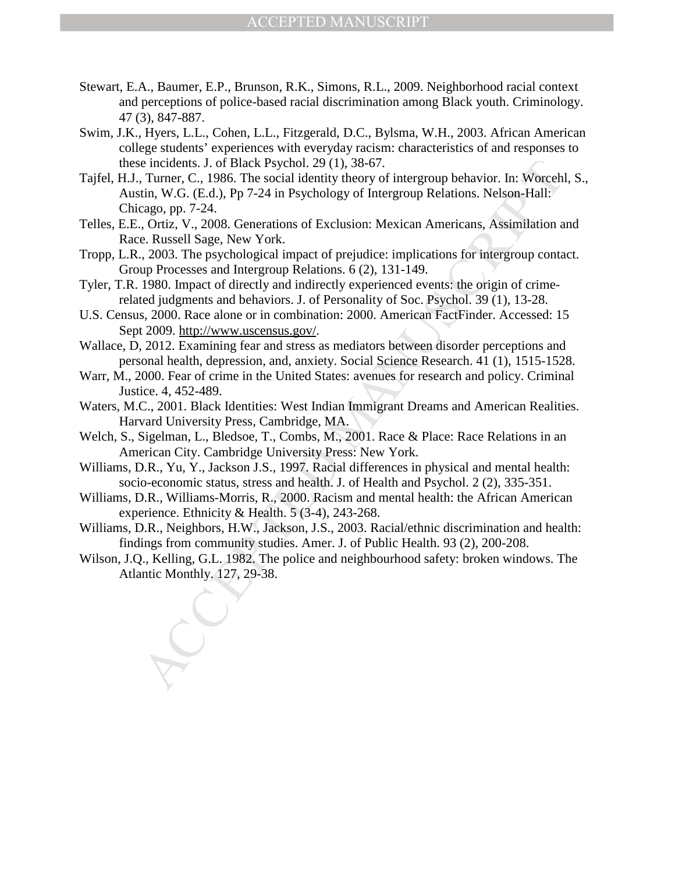- Stewart, E.A., Baumer, E.P., Brunson, R.K., Simons, R.L., 2009. Neighborhood racial context and perceptions of police-based racial discrimination among Black youth. Criminology. 47 (3), 847-887.
- Swim, J.K., Hyers, L.L., Cohen, L.L., Fitzgerald, D.C., Bylsma, W.H., 2003. African American college students' experiences with everyday racism: characteristics of and responses to these incidents. J. of Black Psychol. 29 (1), 38-67.
- e incidents. J. of Black Psychol. 29 (1), 38-67.<br>
r. Turner, C., 1986. The social identity theory of intergroup behavior. In: Worceh<br>
in, W.G. (E.d.), Pp 7-24 in Psychology of Intergroup Relations. Nelson-Hall:<br>
e.g., pp. Tajfel, H.J., Turner, C., 1986. The social identity theory of intergroup behavior. In: Worcehl, S., Austin, W.G. (E.d.), Pp 7-24 in Psychology of Intergroup Relations. Nelson-Hall: Chicago, pp. 7-24.
- Telles, E.E., Ortiz, V., 2008. Generations of Exclusion: Mexican Americans, Assimilation and Race. Russell Sage, New York.
- Tropp, L.R., 2003. The psychological impact of prejudice: implications for intergroup contact. Group Processes and Intergroup Relations. 6 (2), 131-149.
- Tyler, T.R. 1980. Impact of directly and indirectly experienced events: the origin of crimerelated judgments and behaviors. J. of Personality of Soc. Psychol. 39 (1), 13-28.
- U.S. Census, 2000. Race alone or in combination: 2000. American FactFinder. Accessed: 15 Sept 2009. http://www.uscensus.gov/.
- Wallace, D, 2012. Examining fear and stress as mediators between disorder perceptions and personal health, depression, and, anxiety. Social Science Research. 41 (1), 1515-1528.
- Warr, M., 2000. Fear of crime in the United States: avenues for research and policy. Criminal Justice. 4, 452-489.
- Waters, M.C., 2001. Black Identities: West Indian Immigrant Dreams and American Realities. Harvard University Press, Cambridge, MA.
- Welch, S., Sigelman, L., Bledsoe, T., Combs, M., 2001. Race & Place: Race Relations in an American City. Cambridge University Press: New York.
- Williams, D.R., Yu, Y., Jackson J.S., 1997. Racial differences in physical and mental health: socio-economic status, stress and health. J. of Health and Psychol. 2 (2), 335-351.
- Williams, D.R., Williams-Morris, R., 2000. Racism and mental health: the African American experience. Ethnicity & Health. 5 (3-4), 243-268.
- Williams, D.R., Neighbors, H.W., Jackson, J.S., 2003. Racial/ethnic discrimination and health: findings from community studies. Amer. J. of Public Health. 93 (2), 200-208.
- Wilson, J.Q., Kelling, G.L. 1982. The police and neighbourhood safety: broken windows. The Atlantic Monthly. 127, 29-38.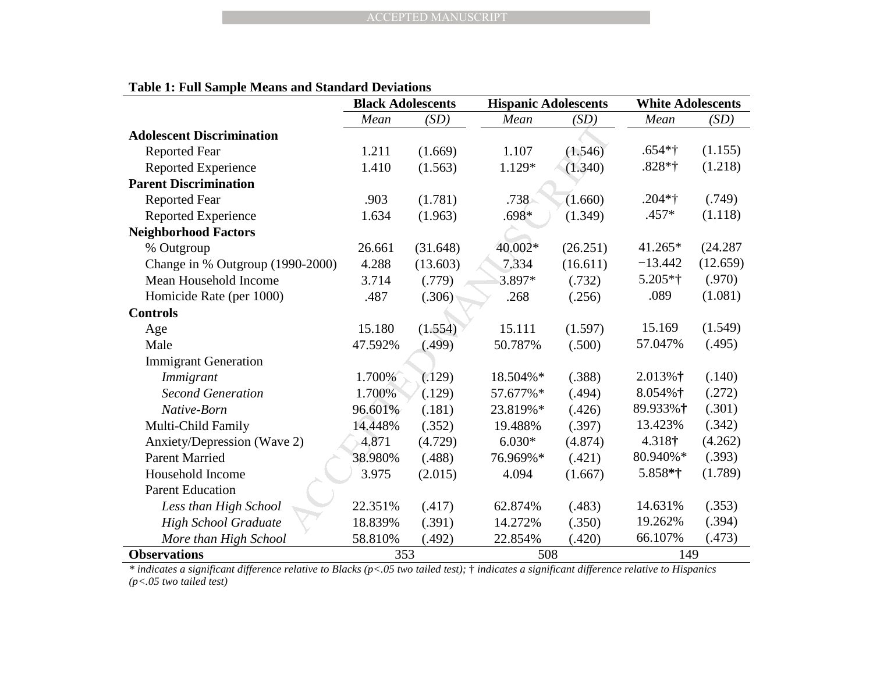|  |  | <b>Table 1: Full Sample Means and Standard Deviations</b> |
|--|--|-----------------------------------------------------------|
|--|--|-----------------------------------------------------------|

|                                  | <b>Black Adolescents</b> |          | <b>Hispanic Adolescents</b> |          | <b>White Adolescents</b> |          |
|----------------------------------|--------------------------|----------|-----------------------------|----------|--------------------------|----------|
|                                  | Mean                     | (SD)     | Mean                        | (SD)     | Mean                     | (SD)     |
| <b>Adolescent Discrimination</b> |                          |          |                             |          |                          |          |
| <b>Reported Fear</b>             | 1.211                    | (1.669)  | 1.107                       | (1.546)  | $.654*$ †                | (1.155)  |
| <b>Reported Experience</b>       | 1.410                    | (1.563)  | 1.129*                      | (1.340)  | $.828*$ †                | (1.218)  |
| <b>Parent Discrimination</b>     |                          |          |                             |          |                          |          |
| <b>Reported Fear</b>             | .903                     | (1.781)  | $.738 -$                    | (1.660)  | $.204*$ †                | (.749)   |
| <b>Reported Experience</b>       | 1.634                    | (1.963)  | $.698*$                     | (1.349)  | $.457*$                  | (1.118)  |
| <b>Neighborhood Factors</b>      |                          |          |                             |          |                          |          |
| % Outgroup                       | 26.661                   | (31.648) | 40.002*                     | (26.251) | $41.265*$                | (24.287) |
| Change in % Outgroup (1990-2000) | 4.288                    | (13.603) | 7.334                       | (16.611) | $-13.442$                | (12.659) |
| Mean Household Income            | 3.714                    | (.779)   | 3.897*                      | (.732)   | $5.205*$ †               | (.970)   |
| Homicide Rate (per 1000)         | .487                     | (.306)   | .268                        | (.256)   | .089                     | (1.081)  |
| <b>Controls</b>                  |                          |          |                             |          |                          |          |
| Age                              | 15.180                   | (1.554)  | 15.111                      | (1.597)  | 15.169                   | (1.549)  |
| Male                             | 47.592%                  | (.499)   | 50.787%                     | (.500)   | 57.047%                  | (.495)   |
| <b>Immigrant Generation</b>      |                          |          |                             |          |                          |          |
| Immigrant                        | 1.700%                   | (.129)   | 18.504%*                    | (.388)   | $2.013%$ †               | (.140)   |
| <b>Second Generation</b>         | 1.700%                   | (.129)   | 57.677%*                    | (.494)   | 8.054%†                  | (.272)   |
| Native-Born                      | 96.601%                  | (.181)   | 23.819%*                    | (.426)   | 89.933%†                 | (.301)   |
| Multi-Child Family               | 14.448%                  | (.352)   | 19.488%                     | (.397)   | 13.423%                  | (.342)   |
| Anxiety/Depression (Wave 2)      | 4.871                    | (4.729)  | $6.030*$                    | (4.874)  | 4.318†                   | (4.262)  |
| <b>Parent Married</b>            | 38.980%                  | (.488)   | 76.969%*                    | (.421)   | 80.940%*                 | (.393)   |
| Household Income                 | 3.975                    | (2.015)  | 4.094                       | (1.667)  | 5.858*†                  | (1.789)  |
| <b>Parent Education</b>          |                          |          |                             |          |                          |          |
| Less than High School            | 22.351%                  | (.417)   | 62.874%                     | (.483)   | 14.631%                  | (.353)   |
| <b>High School Graduate</b>      | 18.839%                  | (.391)   | 14.272%                     | (.350)   | 19.262%                  | (.394)   |
| More than High School            | 58.810%                  | (.492)   | 22.854%                     | (.420)   | 66.107%                  | (.473)   |
| <b>Observations</b>              | 353                      |          | 508                         |          | 149                      |          |

**Observations** 149<br> *\* indicates a significant difference relative to Blacks (p<.05 two tailed test); <sup>†</sup> indicates a significant difference relative to Hispanics (p<.05 two tailed test)*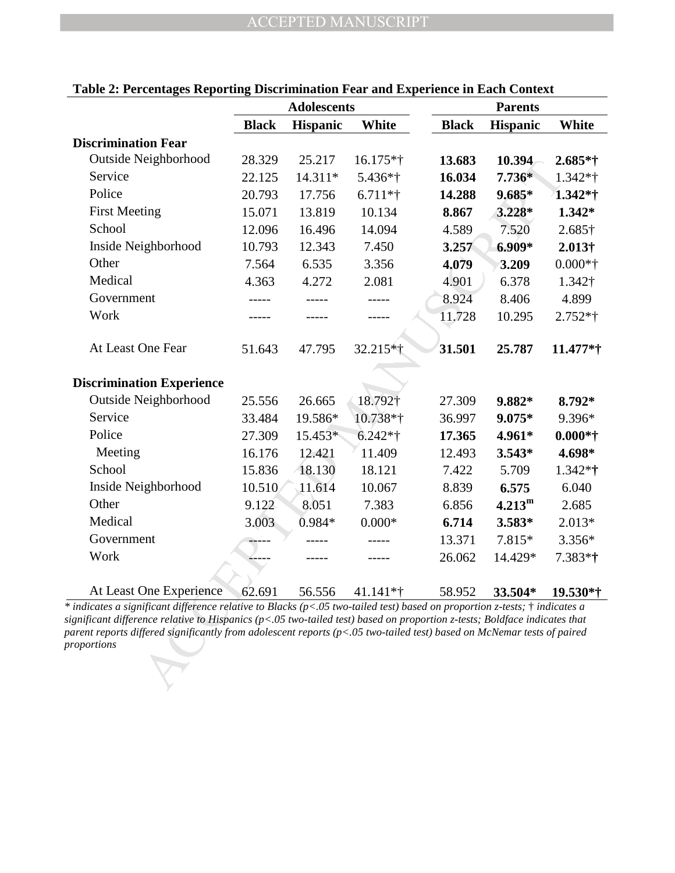|                                                                                                                                                                                                                                                                                                                                                                                                         | <b>Adolescents</b> |           |              | <b>Parents</b> |                 |                |  |
|---------------------------------------------------------------------------------------------------------------------------------------------------------------------------------------------------------------------------------------------------------------------------------------------------------------------------------------------------------------------------------------------------------|--------------------|-----------|--------------|----------------|-----------------|----------------|--|
|                                                                                                                                                                                                                                                                                                                                                                                                         | <b>Black</b>       | Hispanic  | <b>White</b> | <b>Black</b>   | <b>Hispanic</b> | White          |  |
| <b>Discrimination Fear</b>                                                                                                                                                                                                                                                                                                                                                                              |                    |           |              |                |                 |                |  |
| Outside Neighborhood                                                                                                                                                                                                                                                                                                                                                                                    | 28.329             | 25.217    | $16.175*$ †  | 13.683         | 10.394          | $2.685*$ †     |  |
| Service                                                                                                                                                                                                                                                                                                                                                                                                 | 22.125             | 14.311*   | 5.436*†      | 16.034         | $7.736*$        | $1.342**$ †    |  |
| Police                                                                                                                                                                                                                                                                                                                                                                                                  | 20.793             | 17.756    | $6.711**$    | 14.288         | $9.685*$        | 1.342*†        |  |
| <b>First Meeting</b>                                                                                                                                                                                                                                                                                                                                                                                    | 15.071             | 13.819    | 10.134       | 8.867          | 3.228*          | 1.342*         |  |
| School                                                                                                                                                                                                                                                                                                                                                                                                  | 12.096             | 16.496    | 14.094       | 4.589          | 7.520           | 2.685†         |  |
| Inside Neighborhood                                                                                                                                                                                                                                                                                                                                                                                     | 10.793             | 12.343    | 7.450        | 3.257          | 6.909*          | $2.013\dagger$ |  |
| Other                                                                                                                                                                                                                                                                                                                                                                                                   | 7.564              | 6.535     | 3.356        | 4.079          | 3.209           | $0.000*†$      |  |
| Medical                                                                                                                                                                                                                                                                                                                                                                                                 | 4.363              | 4.272     | 2.081        | 4.901          | 6.378           | 1.342†         |  |
| Government                                                                                                                                                                                                                                                                                                                                                                                              |                    |           |              | 8.924          | 8.406           | 4.899          |  |
| Work                                                                                                                                                                                                                                                                                                                                                                                                    |                    |           |              | 11.728         | 10.295          | $2.752*$ †     |  |
|                                                                                                                                                                                                                                                                                                                                                                                                         |                    |           |              |                |                 |                |  |
| At Least One Fear                                                                                                                                                                                                                                                                                                                                                                                       | 51.643             | 47.795    | 32.215*†     | 31.501         | 25.787          | 11.477*†       |  |
|                                                                                                                                                                                                                                                                                                                                                                                                         |                    |           |              |                |                 |                |  |
| <b>Discrimination Experience</b>                                                                                                                                                                                                                                                                                                                                                                        |                    |           |              |                |                 |                |  |
| Outside Neighborhood                                                                                                                                                                                                                                                                                                                                                                                    | 25.556             | 26.665    | 18.792†      | 27.309         | 9.882*          | 8.792*         |  |
| Service                                                                                                                                                                                                                                                                                                                                                                                                 | 33.484             | 19.586*   | 10.738*†     | 36.997         | $9.075*$        | 9.396*         |  |
| Police                                                                                                                                                                                                                                                                                                                                                                                                  | 27.309             | 15.453*   | $6.242*$ †   | 17.365         | 4.961*          | $0.000*†$      |  |
| Meeting                                                                                                                                                                                                                                                                                                                                                                                                 | 16.176             | 12.421    | 11.409       | 12.493         | $3.543*$        | 4.698*         |  |
| School                                                                                                                                                                                                                                                                                                                                                                                                  | 15.836             | $-18.130$ | 18.121       | 7.422          | 5.709           | $1.342**$ †    |  |
| Inside Neighborhood                                                                                                                                                                                                                                                                                                                                                                                     | 10.510             | 11.614    | 10.067       | 8.839          | 6.575           | 6.040          |  |
| Other                                                                                                                                                                                                                                                                                                                                                                                                   | 9.122              | 8.051     | 7.383        | 6.856          | $4.213^{\rm m}$ | 2.685          |  |
| Medical                                                                                                                                                                                                                                                                                                                                                                                                 | 3.003              | $0.984*$  | $0.000*$     | 6.714          | $3.583*$        | $2.013*$       |  |
| Government                                                                                                                                                                                                                                                                                                                                                                                              |                    |           |              | 13.371         | 7.815*          | $3.356*$       |  |
| Work                                                                                                                                                                                                                                                                                                                                                                                                    |                    |           |              | 26.062         | 14.429*         | $7.383*$ †     |  |
|                                                                                                                                                                                                                                                                                                                                                                                                         |                    |           |              |                |                 |                |  |
| At Least One Experience                                                                                                                                                                                                                                                                                                                                                                                 | 62.691             | 56.556    | $41.141*$    | 58.952         | 33.504*         | $19.530*$      |  |
| indicates a significant difference relative to Blacks ( $p<0.05$ two-tailed test) based on proportion z-tests; $\dagger$ indicates a<br>ignificant difference relative to Hispanics (p<.05 two-tailed test) based on proportion z-tests; Boldface indicates that<br>arent reports differed significantly from adolescent reports (p<.05 two-tailed test) based on McNemar tests of paired<br>roportions |                    |           |              |                |                 |                |  |

## **Table 2: Percentages Reporting Discrimination Fear and Experience in Each Context**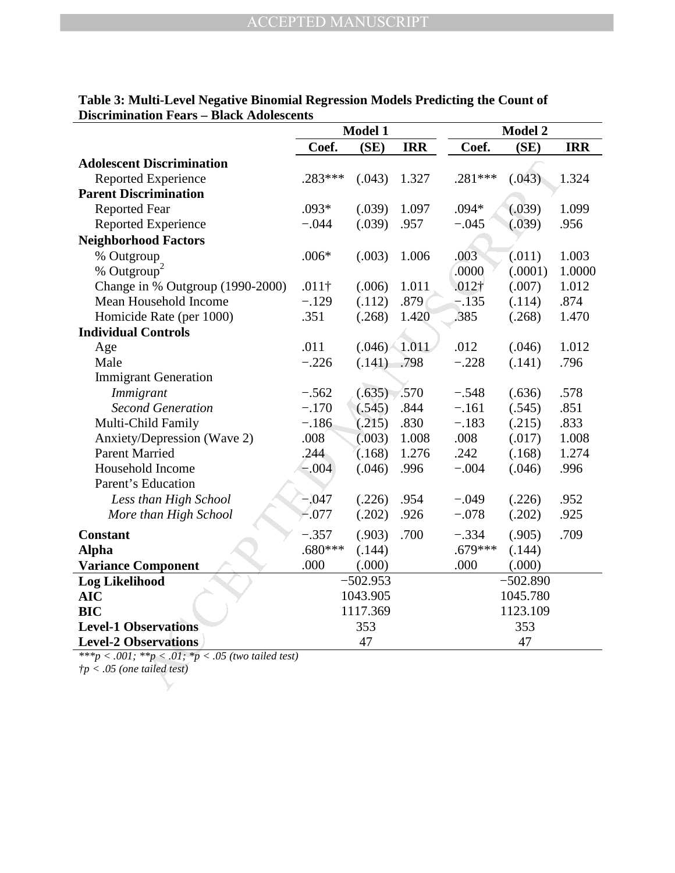|                                                    | Model 1       |            |            | <b>Model 2</b>    |            |            |  |
|----------------------------------------------------|---------------|------------|------------|-------------------|------------|------------|--|
|                                                    | Coef.         | (SE)       | <b>IRR</b> | Coef.             | (SE)       | <b>IRR</b> |  |
| <b>Adolescent Discrimination</b>                   |               |            |            |                   |            |            |  |
| <b>Reported Experience</b>                         | $.283***$     | (.043)     | 1.327      | .281 ***          | (.043)     | 1.324      |  |
| <b>Parent Discrimination</b>                       |               |            |            |                   |            |            |  |
| <b>Reported Fear</b>                               | $.093*$       | (.039)     | 1.097      | $.094*$           | (.039)     | 1.099      |  |
| Reported Experience                                | $-.044$       | (.039)     | .957       | $-.045$           | (.039)     | .956       |  |
| <b>Neighborhood Factors</b>                        |               |            |            |                   |            |            |  |
| % Outgroup                                         | $.006*$       | (.003)     | 1.006      | .003              | (.011)     | 1.003      |  |
| % Outgroup <sup>2</sup>                            |               |            |            | .0000             | (.0001)    | 1.0000     |  |
| Change in % Outgroup (1990-2000)                   | $.011\dagger$ | (.006)     | 1.011      | .012 <sup>†</sup> | (.007)     | 1.012      |  |
| Mean Household Income                              | $-.129$       | (.112)     | .879       | $-.135$           | (.114)     | .874       |  |
| Homicide Rate (per 1000)                           | .351          | (.268)     | 1.420      | .385              | (.268)     | 1.470      |  |
| <b>Individual Controls</b>                         |               |            |            |                   |            |            |  |
| Age                                                | .011          | (.046)     | 1.011      | .012              | (.046)     | 1.012      |  |
| Male                                               | $-.226$       | (.141)     | .798       | $-.228$           | (.141)     | .796       |  |
| <b>Immigrant Generation</b>                        |               |            |            |                   |            |            |  |
| Immigrant                                          | $-.562$       | (.635)     | .570       | $-.548$           | (.636)     | .578       |  |
| <b>Second Generation</b>                           | $-.170$       | (.545)     | .844       | $-.161$           | (.545)     | .851       |  |
| Multi-Child Family                                 | $-.186$       | (.215)     | .830       | $-.183$           | (.215)     | .833       |  |
| Anxiety/Depression (Wave 2)                        | .008          | (.003)     | 1.008      | .008              | (.017)     | 1.008      |  |
| <b>Parent Married</b>                              | .244          | (.168)     | 1.276      | .242              | (.168)     | 1.274      |  |
| Household Income                                   | $-0.04$       | (.046)     | .996       | $-.004$           | (.046)     | .996       |  |
| Parent's Education                                 |               |            |            |                   |            |            |  |
| Less than High School                              | $-.047$       | (.226)     | .954       | $-.049$           | (.226)     | .952       |  |
| More than High School                              | $-.077$       | (.202)     | .926       | $-.078$           | (.202)     | .925       |  |
| <b>Constant</b>                                    | $-.357$       | (.903)     | .700       | $-.334$           | (.905)     | .709       |  |
| <b>Alpha</b>                                       | $.680***$     | (.144)     |            | $.679***$         | (.144)     |            |  |
| <b>Variance Component</b>                          | .000          | (.000)     |            | .000              | (.000)     |            |  |
| <b>Log Likelihood</b>                              |               | $-502.953$ |            |                   | $-502.890$ |            |  |
| <b>AIC</b>                                         |               | 1043.905   |            |                   | 1045.780   |            |  |
| <b>BIC</b>                                         | 1117.369      |            |            | 1123.109          |            |            |  |
| <b>Level-1 Observations</b>                        | 353<br>353    |            |            |                   |            |            |  |
| <b>Level-2 Observations</b>                        |               | 47         |            |                   | 47         |            |  |
| ***p < .001; **p < .01; *p < .05 (two tailed test) |               |            |            |                   |            |            |  |
| $tp < .05$ (one tailed test)                       |               |            |            |                   |            |            |  |
|                                                    |               |            |            |                   |            |            |  |

**Table 3: Multi-Level Negative Binomial Regression Models Predicting the Count of Discrimination Fears – Black Adolescents**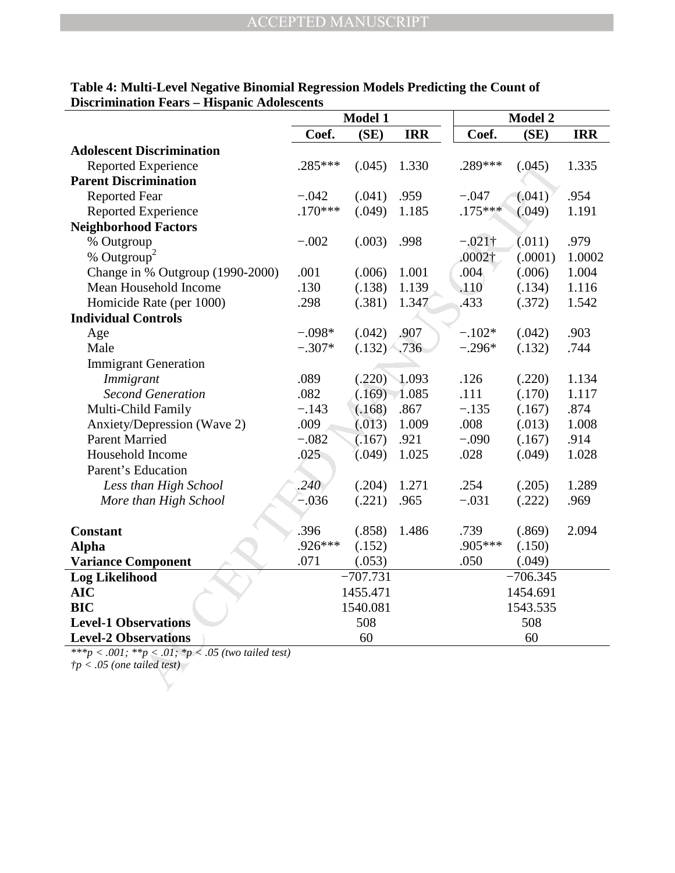|                                                                                             | Model 1   |            |            |                | Model 2    |            |  |  |
|---------------------------------------------------------------------------------------------|-----------|------------|------------|----------------|------------|------------|--|--|
|                                                                                             | Coef.     | (SE)       | <b>IRR</b> | Coef.          | (SE)       | <b>IRR</b> |  |  |
| <b>Adolescent Discrimination</b>                                                            |           |            |            |                |            |            |  |  |
| <b>Reported Experience</b>                                                                  | $.285***$ | (.045)     | 1.330      | .289***        | (.045)     | 1.335      |  |  |
| <b>Parent Discrimination</b>                                                                |           |            |            |                |            |            |  |  |
| <b>Reported Fear</b>                                                                        | $-.042$   | (.041)     | .959       | $-.047$        | (.041)     | .954       |  |  |
| <b>Reported Experience</b>                                                                  | $.170***$ | (.049)     | 1.185      | $.175***$      | (.049)     | 1.191      |  |  |
| <b>Neighborhood Factors</b>                                                                 |           |            |            |                |            |            |  |  |
| % Outgroup                                                                                  | $-.002$   | (.003)     | .998       | $-.021\dagger$ | (.011)     | .979       |  |  |
| % Outgroup <sup>2</sup>                                                                     |           |            |            | $.0002\dagger$ | (.0001)    | 1.0002     |  |  |
| Change in % Outgroup (1990-2000)                                                            | .001      | (.006)     | 1.001      | .004           | (.006)     | 1.004      |  |  |
| Mean Household Income                                                                       | .130      | (.138)     | 1.139      | .110           | (.134)     | 1.116      |  |  |
| Homicide Rate (per 1000)                                                                    | .298      | (.381)     | 1.347      | .433           | (.372)     | 1.542      |  |  |
| <b>Individual Controls</b>                                                                  |           |            |            |                |            |            |  |  |
| Age                                                                                         | $-.098*$  | (.042)     | .907       | $-.102*$       | (.042)     | .903       |  |  |
| Male                                                                                        | $-.307*$  | (.132)     | .736       | $-.296*$       | (.132)     | .744       |  |  |
| <b>Immigrant Generation</b>                                                                 |           |            |            |                |            |            |  |  |
| Immigrant                                                                                   | .089      | (.220)     | 1.093      | .126           | (.220)     | 1.134      |  |  |
| <b>Second Generation</b>                                                                    | .082      | (.169)     | 1.085      | .111           | (.170)     | 1.117      |  |  |
| Multi-Child Family                                                                          | $-.143$   | (.168)     | .867       | $-.135$        | (.167)     | .874       |  |  |
| Anxiety/Depression (Wave 2)                                                                 | .009      | (.013)     | 1.009      | .008           | (.013)     | 1.008      |  |  |
| <b>Parent Married</b>                                                                       | $-.082$   | (.167)     | .921       | $-.090$        | (.167)     | .914       |  |  |
| Household Income                                                                            | .025      | (.049)     | 1.025      | .028           | (.049)     | 1.028      |  |  |
| Parent's Education                                                                          |           |            |            |                |            |            |  |  |
| Less than High School                                                                       | .240      | (.204)     | 1.271      | .254           | (.205)     | 1.289      |  |  |
| More than High School                                                                       | $-.036$   | (.221)     | .965       | $-.031$        | (.222)     | .969       |  |  |
|                                                                                             |           |            |            |                |            |            |  |  |
| <b>Constant</b>                                                                             | .396      | (.858)     | 1.486      | .739           | (.869)     | 2.094      |  |  |
| <b>Alpha</b>                                                                                | .926***   | (.152)     |            | .905***        | (.150)     |            |  |  |
| <b>Variance Component</b>                                                                   | .071      | (.053)     |            | .050           | (.049)     |            |  |  |
| <b>Log Likelihood</b>                                                                       |           | $-707.731$ |            |                | $-706.345$ |            |  |  |
| <b>AIC</b>                                                                                  | 1455.471  |            |            | 1454.691       |            |            |  |  |
| <b>BIC</b>                                                                                  | 1540.081  |            |            | 1543.535       |            |            |  |  |
| <b>Level-1 Observations</b>                                                                 | 508       |            |            | 508            |            |            |  |  |
| <b>Level-2 Observations</b>                                                                 | 60        |            |            | 60             |            |            |  |  |
| ***p < .001; **p < .01; *p < .05 (two tailed test)<br>$\dot{\tau}p < .05$ (one tailed test) |           |            |            |                |            |            |  |  |

## **Table 4: Multi-Level Negative Binomial Regression Models Predicting the Count of Discrimination Fears – Hispanic Adolescents**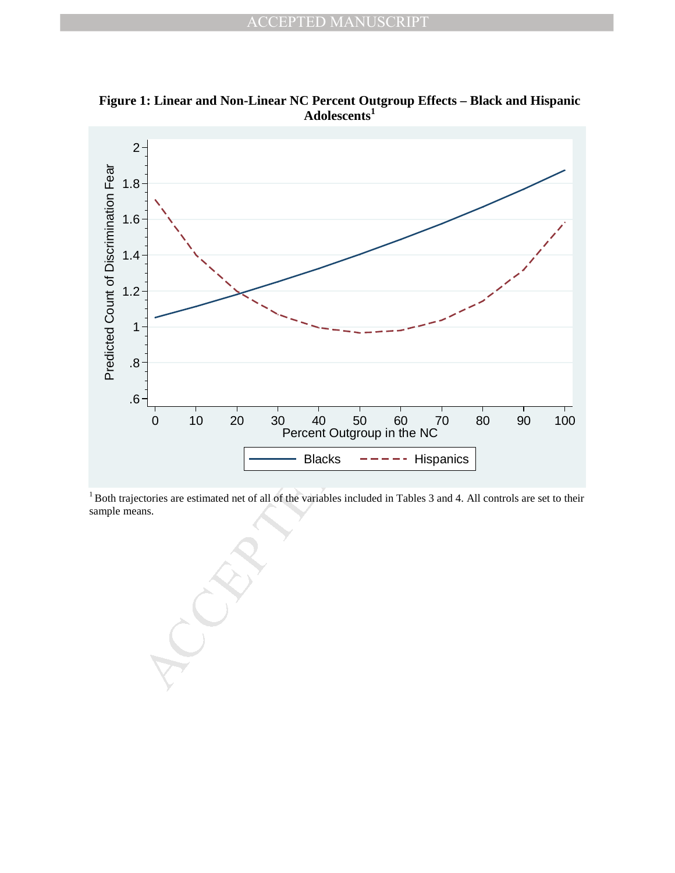

**Figure 1: Linear and Non-Linear NC Percent Outgroup Effects – Black and Hispanic Adolescents<sup>1</sup>**

<sup>1</sup> Both trajectories are estimated net of all of the variables included in Tables 3 and 4. All controls are set to their sample means.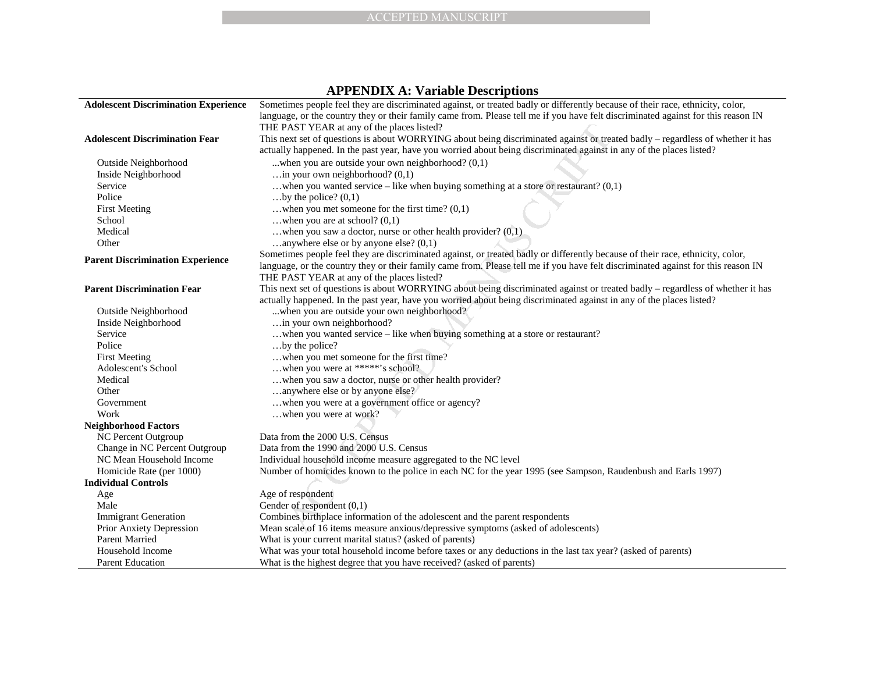|                                             | <b>ACCEPTED MANUSCRIPT</b>                                                                                                                                                      |
|---------------------------------------------|---------------------------------------------------------------------------------------------------------------------------------------------------------------------------------|
|                                             |                                                                                                                                                                                 |
|                                             |                                                                                                                                                                                 |
|                                             |                                                                                                                                                                                 |
|                                             |                                                                                                                                                                                 |
|                                             |                                                                                                                                                                                 |
|                                             | <b>APPENDIX A: Variable Descriptions</b>                                                                                                                                        |
| <b>Adolescent Discrimination Experience</b> | Sometimes people feel they are discriminated against, or treated badly or differently because of their race, ethnicity, color,                                                  |
|                                             | language, or the country they or their family came from. Please tell me if you have felt discriminated against for this reason IN<br>THE PAST YEAR at any of the places listed? |
| <b>Adolescent Discrimination Fear</b>       | This next set of questions is about WORRYING about being discriminated against or treated badly – regardless of whether it has                                                  |
|                                             | actually happened. In the past year, have you worried about being discriminated against in any of the places listed?                                                            |
| Outside Neighborhood                        | when you are outside your own neighborhood? $(0,1)$                                                                                                                             |
| Inside Neighborhood                         | in your own neighborhood? $(0,1)$                                                                                                                                               |
| Service                                     | when you wanted service – like when buying something at a store or restaurant? $(0,1)$                                                                                          |
| Police                                      | by the police? $(0,1)$                                                                                                                                                          |
| <b>First Meeting</b>                        | when you met someone for the first time? $(0,1)$                                                                                                                                |
| School                                      | when you are at school? $(0,1)$                                                                                                                                                 |
| Medical                                     | when you saw a doctor, nurse or other health provider? $(0,1)$                                                                                                                  |
| Other                                       | anywhere else or by anyone else? $(0,1)$                                                                                                                                        |
|                                             | Sometimes people feel they are discriminated against, or treated badly or differently because of their race, ethnicity, color,                                                  |
| <b>Parent Discrimination Experience</b>     | language, or the country they or their family came from. Please tell me if you have felt discriminated against for this reason IN                                               |
|                                             | THE PAST YEAR at any of the places listed?                                                                                                                                      |
| <b>Parent Discrimination Fear</b>           | This next set of questions is about WORRYING about being discriminated against or treated badly – regardless of whether it has                                                  |
|                                             | actually happened. In the past year, have you worried about being discriminated against in any of the places listed?                                                            |
| Outside Neighborhood                        | when you are outside your own neighborhood?                                                                                                                                     |
| Inside Neighborhood                         | in your own neighborhood?                                                                                                                                                       |
| Service                                     | when you wanted service - like when buying something at a store or restaurant?                                                                                                  |
| Police                                      | by the police?                                                                                                                                                                  |
| <b>First Meeting</b>                        | when you met someone for the first time?                                                                                                                                        |
| Adolescent's School                         | when you were at *****'s school?                                                                                                                                                |
| Medical                                     | when you saw a doctor, nurse or other health provider?                                                                                                                          |
| Other                                       | anywhere else or by anyone else?                                                                                                                                                |
| Government                                  | when you were at a government office or agency?                                                                                                                                 |
| Work                                        | when you were at work?                                                                                                                                                          |
| <b>Neighborhood Factors</b>                 |                                                                                                                                                                                 |
| <b>NC Percent Outgroup</b>                  | Data from the 2000 U.S. Census                                                                                                                                                  |
| Change in NC Percent Outgroup               | Data from the 1990 and 2000 U.S. Census                                                                                                                                         |
| NC Mean Household Income                    | Individual household income measure aggregated to the NC level                                                                                                                  |
| Homicide Rate (per 1000)                    | Number of homicides known to the police in each NC for the year 1995 (see Sampson, Raudenbush and Earls 1997)                                                                   |
| <b>Individual Controls</b>                  |                                                                                                                                                                                 |
| Age                                         | Age of respondent                                                                                                                                                               |
| Male                                        | Gender of respondent (0,1)                                                                                                                                                      |
| <b>Immigrant Generation</b>                 | Combines birthplace information of the adolescent and the parent respondents                                                                                                    |
| Prior Anxiety Depression                    | Mean scale of 16 items measure anxious/depressive symptoms (asked of adolescents)                                                                                               |
| <b>Parent Married</b>                       | What is your current marital status? (asked of parents)                                                                                                                         |
| Household Income                            | What was your total household income before taxes or any deductions in the last tax year? (asked of parents)                                                                    |
| <b>Parent Education</b>                     | What is the highest degree that you have received? (asked of parents)                                                                                                           |

## **APPENDIX A: Variable Descriptions**